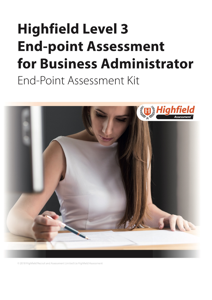# **Highfield Level 3 End-point Assessment** for Business Administrator End-Point Assessment Kit



<span id="page-0-0"></span>© 2018 Highfield Recruit and Assessment Limited t/a Highfield Assessment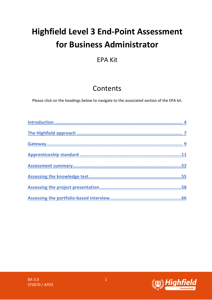## **Highfield Level 3 End-Point Assessment for Business Administrator**

## EPA Kit

## Contents

Please click on the headings below to navigate to the associated section of the EPA kit.

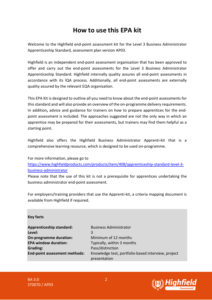## **How to use this EPA kit**

Welcome to the Highfield end-point assessment kit for the Level 3 Business Administrator Apprenticeship Standard, assessment plan version AP03.

Highfield is an independent end-point assessment organisation that has been approved to offer and carry out the end-point assessments for the Level 3 Business Administrator Apprenticeship Standard. Highfield internally quality assures all end-point assessments in accordance with its IQA process. Additionally, all end-point assessments are externally quality assured by the relevant EQA organisation.

This EPA Kit is designed to outline all you need to know about the end-point assessments for this standard and will also provide an overview of the on-programme delivery requirements. In addition**,** advice and guidance for trainers on how to prepare apprentices for the endpoint assessment is included. The approaches suggested are not the only way in which an apprentice may be prepared for their assessments, but trainers may find them helpful as a starting point.

Highfield also offers the Highfield Business Administrator Apprenti-kit that is a comprehensive learning resource, which is designed to be used on-programme.

For more information, please go to [https://www.highfieldproducts.com/products/item/408/apprenticeship-standard-level-3](https://www.highfieldproducts.com/products/item/408/apprenticeship-standard-level-3-business-administrator) [business-administrator](https://www.highfieldproducts.com/products/item/408/apprenticeship-standard-level-3-business-administrator)

Please note that the use of this kit is not a prerequisite for apprentices undertaking the business administrator end-point assessment.

For employers/training providers that use the Apprenti-kit, a criteria mapping document is available from Highfield if required.

#### **Key facts**

| <b>Apprenticeship standard:</b>      | R |
|--------------------------------------|---|
| Level:                               | 3 |
| <b>On-programme duration:</b>        | Λ |
| <b>EPA window duration:</b>          | Т |
| Grading:                             | P |
| <b>End-point assessment methods:</b> | К |
|                                      |   |

**Apprenticeship standard:** Business Administrator **Minimum of 12 months Typically, within 3 months Grading:** Pass/distinction **End-point assessment methods:** Knowledge test, portfolio-based interview, project presentation

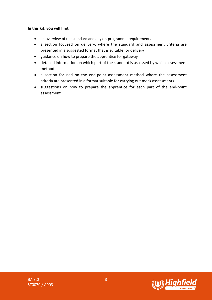#### **In this kit, you will find:**

- an overview of the standard and any on-programme requirements
- a section focused on delivery, where the standard and assessment criteria are presented in a suggested format that is suitable for delivery
- guidance on how to prepare the apprentice for gateway
- detailed information on which part of the standard is assessed by which assessment method
- a section focused on the end-point assessment method where the assessment criteria are presented in a format suitable for carrying out mock assessments
- suggestions on how to prepare the apprentice for each part of the end-point assessment

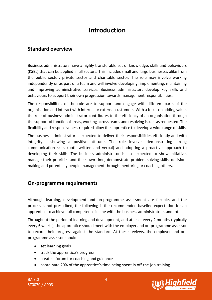## **Introduction**

#### <span id="page-4-0"></span>**Standard overview**

Business administrators have a highly transferable set of knowledge, skills and behaviours (KSBs) that can be applied in all sectors. This includes small and large businesses alike from the public sector, private sector and charitable sector. The role may involve working independently or as part of a team and will involve developing, implementing, maintaining and improving administrative services. Business administrators develop key skills and behaviours to support their own progression towards management responsibilities.

The responsibilities of the role are to support and engage with different parts of the organisation and interact with internal or external customers. With a focus on adding value, the role of business administrator contributes to the efficiency of an organisation through the support of functional areas, working across teams and resolving issues as requested. The flexibility and responsiveness required allow the apprentice to develop a wide range of skills.

The business administrator is expected to deliver their responsibilities efficiently and with integrity - showing a positive attitude. The role involves demonstrating strong communication skills (both written and verbal) and adopting a proactive approach to developing their skills. The business administrator is also expected to show initiative, manage their priorities and their own time, demonstrate problem-solving skills, decisionmaking and potentially people management through mentoring or coaching others.

#### **On-programme requirements**

Although learning, development and on-programme assessment are flexible, and the process is not prescribed, the following is the recommended baseline expectation for an apprentice to achieve full competence in line with the business administrator standard.

Throughout the period of learning and development, and at least every 2 months (typically every 6 weeks), the apprentice should meet with the employer and on-programme assessor to record their progress against the standard. At these reviews, the employer and onprogramme assessor should:

- set learning goals
- track the apprentice's progress
- create a forum for coaching and guidance
- coordinate 20% of the apprentice's time being spent in off-the-job training

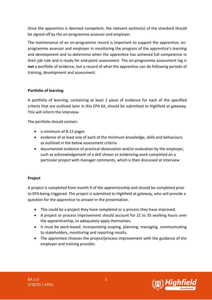Once the apprentice is deemed competent, the relevant section(s) of the standard should be signed off by the on-programme assessor and employer.

The maintenance of an on-programme record is important to support the apprentice, onprogramme assessor and employer in monitoring the progress of the apprentice's learning and development and to determine when the apprentice has achieved full competence in their job role and is ready for end-point assessment. The on-programme assessment log is **not** a portfolio of evidence, but a record of what the apprentice can do following periods of training, development and assessment.

#### **Portfolio of learning**

A portfolio of learning, containing at least 1 piece of evidence for each of the specified criteria that are outlined later in this EPA kit, should be submitted to Highfield at gateway. This will inform the interview.

The portfolio should contain:

- a minimum of 8-12 pages
- evidence of at least one of each of the minimum knowledge, skills and behaviours as outlined in the below assessment criteria
- documented evidence of practical observation and/or evaluation by the employer, such as acknowledgement of a skill shown or evidencing work completed on a particular project with manager comments, which is then discussed at interview

#### **Project**

A project is completed from month 9 of the apprenticeship and should be completed prior to EPA being triggered. The project is submitted to Highfield at gateway, who will provide a question for the apprentice to answer in the presentation.

- This could be a project they have completed or a process they have improved.
- A project or process improvement should account for 21 to 35 working hours over the apprenticeship, to adequately apply themselves.
- It must be work-based, incorporating scoping, planning, managing, communicating to stakeholders, monitoring and reporting results.
- The apprentice chooses the project/process improvement with the guidance of the employer and training provider.

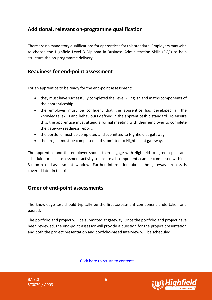#### **Additional, relevant on-programme qualification**

There are no mandatory qualifications for apprentices for this standard. Employers may wish to choose the Highfield Level 3 Diploma in Business Administration Skills (RQF) to help structure the on-programme delivery.

#### **Readiness for end-point assessment**

For an apprentice to be ready for the end-point assessment:

- they must have successfully completed the Level 2 English and maths components of the apprenticeship.
- the employer must be confident that the apprentice has developed all the knowledge, skills and behaviours defined in the apprenticeship standard. To ensure this, the apprentice must attend a formal meeting with their employer to complete the gateway readiness report.
- the portfolio must be completed and submitted to Highfield at gateway.
- the project must be completed and submitted to Highfield at gateway.

The apprentice and the employer should then engage with Highfield to agree a plan and schedule for each assessment activity to ensure all components can be completed within a 3-month end-assessment window. Further information about the gateway process is covered later in this kit.

#### **Order of end-point assessments**

The knowledge test should typically be the first assessment component undertaken and passed.

The portfolio and project will be submitted at gateway. Once the portfolio and project have been reviewed, the end-point assessor will provide a question for the project presentation and both the project presentation and portfolio-based interview will be scheduled.

[Click here to return to contents](#page-0-0)

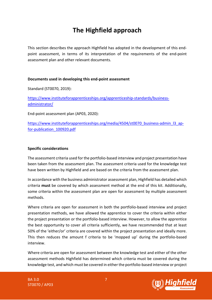## **The Highfield approach**

<span id="page-7-0"></span>This section describes the approach Highfield has adopted in the development of this endpoint assessment, in terms of its interpretation of the requirements of the end-point assessment plan and other relevant documents.

#### **Documents used in developing this end-point assessment**

Standard (ST0070, 2019):

[https://www.instituteforapprenticeships.org/apprenticeship-standards/business](https://www.instituteforapprenticeships.org/apprenticeship-standards/business-administrator/)[administrator/](https://www.instituteforapprenticeships.org/apprenticeship-standards/business-administrator/)

End-point assessment plan (AP03, 2020):

[https://www.instituteforapprenticeships.org/media/4504/st0070\\_business-admin\\_l3\\_ap](https://www.instituteforapprenticeships.org/media/4504/st0070_business-admin_l3_ap-for-publication_100920.pdf)[for-publication\\_100920.pdf](https://www.instituteforapprenticeships.org/media/4504/st0070_business-admin_l3_ap-for-publication_100920.pdf)

#### **Specific considerations**

The assessment criteria used for the portfolio-based interview and project presentation have been taken from the assessment plan. The assessment criteria used for the knowledge test have been written by Highfield and are based on the criteria from the assessment plan.

In accordance with the business administrator assessment plan, Highfield has detailed which criteria **must** be covered by which assessment method at the end of this kit. Additionally, some criteria within the assessment plan are open for assessment by multiple assessment methods.

Where criteria are open for assessment in both the portfolio-based interview and project presentation methods, we have allowed the apprentice to cover the criteria within either the project presentation or the portfolio-based interview. However, to allow the apprentice the best opportunity to cover all criteria sufficiently, we have recommended that at least 50% of the 'either/or' criteria are covered within the project presentation and ideally more. This then reduces the amount f criteria to be 'mopped up' during the portfolio-based interview.

Where criteria are open for assessment between the knowledge test and either of the other assessment methods Highfield has determined which criteria must be covered during the knowledge test, and which must be covered in either the portfolio-based interview or project

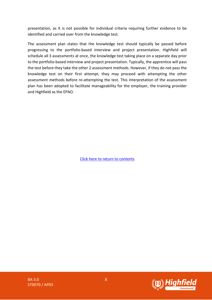presentation, as it is not possible for individual criteria requiring further evidence to be identified and carried over from the knowledge test.

The assessment plan states that the knowledge test should typically be passed before progressing to the portfolio-based interview and project presentation. Highfield will schedule all 3 assessments at once, the knowledge test taking place on a separate day prior to the portfolio-based interview and project presentation. Typically, the apprentice will pass the test before they take the other 2 assessment methods. However, if they do not pass the knowledge test on their first attempt, they may proceed with attempting the other assessment methods before re-attempting the test. This interpretation of the assessment plan has been adopted to facilitate manageability for the employer, the training provider and Highfield as the EPAO.

[Click here to return to contents](#page-0-0)

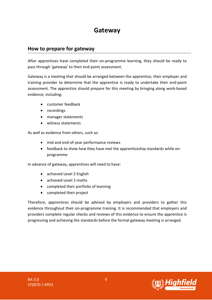## **Gateway**

#### <span id="page-9-0"></span>**How to prepare for gateway**

After apprentices have completed their on-programme learning, they should be ready to pass through 'gateway' to their end-point assessment.

Gateway is a meeting that should be arranged between the apprentice, their employer and training provider to determine that the apprentice is ready to undertake their end-point assessment. The apprentice should prepare for this meeting by bringing along work-based evidence, including:

- customer feedback
- recordings
- manager statements
- witness statements

As well as evidence from others, such as:

- mid and end-of-year performance reviews
- feedback to show how they have met the apprenticeship standards while onprogramme

In advance of gateway, apprentices will need to have:

- achieved Level 2 English
- achieved Level 2 maths
- completed their portfolio of learning
- completed their project

Therefore, apprentices should be advised by employers and providers to gather this evidence throughout their on-programme training. It is recommended that employers and providers complete regular checks and reviews of this evidence to ensure the apprentice is progressing and achieving the standards before the formal gateway meeting is arranged.

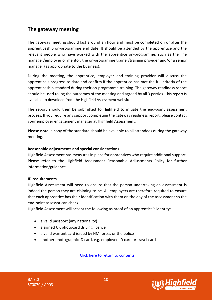#### **The gateway meeting**

The gateway meeting should last around an hour and must be completed on or after the apprenticeship on-programme end date. It should be attended by the apprentice and the relevant people who have worked with the apprentice on-programme, such as the line manager/employer or mentor, the on-programme trainer/training provider and/or a senior manager (as appropriate to the business).

During the meeting, the apprentice, employer and training provider will discuss the apprentice's progress to date and confirm if the apprentice has met the full criteria of the apprenticeship standard during their on-programme training. The gateway readiness report should be used to log the outcomes of the meeting and agreed by all 3 parties. This report is available to download from the Highfield Assessment website.

The report should then be submitted to Highfield to initiate the end-point assessment process. If you require any support completing the gateway readiness report, please contact your employer engagement manager at Highfield Assessment.

**Please note:** a copy of the standard should be available to all attendees during the gateway meeting.

#### **Reasonable adjustments and special considerations**

Highfield Assessment has measures in place for apprentices who require additional support. Please refer to the Highfield Assessment Reasonable Adjustments Policy for further information/guidance.

#### **ID requirements**

Highfield Assessment will need to ensure that the person undertaking an assessment is indeed the person they are claiming to be. All employers are therefore required to ensure that each apprentice has their identification with them on the day of the assessment so the end-point assessor can check.

Highfield Assessment will accept the following as proof of an apprentice's identity:

- a valid passport (any nationality)
- a signed UK photocard driving licence
- a valid warrant card issued by HM forces or the police
- another photographic ID card, e.g. employee ID card or travel card

[Click here to return to contents](#page-0-0)



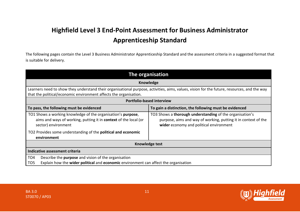## **Highfield Level 3 End-Point Assessment for Business Administrator Apprenticeship Standard**

The following pages contain the Level 3 Business Administrator Apprenticeship Standard and the assessment criteria in a suggested format that is suitable for delivery.

<span id="page-11-0"></span>

| The organisation                                                                                                                                                                                                 |                                                                                                                                                                       |  |
|------------------------------------------------------------------------------------------------------------------------------------------------------------------------------------------------------------------|-----------------------------------------------------------------------------------------------------------------------------------------------------------------------|--|
|                                                                                                                                                                                                                  | Knowledge                                                                                                                                                             |  |
| Learners need to show they understand their organisational purpose, activities, aims, values, vision for the future, resources, and the way<br>that the political/economic environment affects the organisation. |                                                                                                                                                                       |  |
| <b>Portfolio-based interview</b>                                                                                                                                                                                 |                                                                                                                                                                       |  |
| To pass, the following must be evidenced                                                                                                                                                                         | To gain a distinction, the following must be evidenced                                                                                                                |  |
| TO1 Shows a working knowledge of the organisation's purpose,<br>aims and ways of working, putting it in context of the local (or<br>sector) environment                                                          | TO3 Shows a thorough understanding of the organisation's<br>purpose, aims and way of working, putting it in context of the<br>wider economy and political environment |  |
| TO2 Provides some understanding of the political and economic<br>environment                                                                                                                                     |                                                                                                                                                                       |  |
| Knowledge test                                                                                                                                                                                                   |                                                                                                                                                                       |  |
| Indicative assessment criteria                                                                                                                                                                                   |                                                                                                                                                                       |  |
| Describe the purpose and vision of the organisation<br>TO <sub>4</sub>                                                                                                                                           |                                                                                                                                                                       |  |
| Explain how the wider political and economic environment can affect the organisation<br>TO <sub>5</sub>                                                                                                          |                                                                                                                                                                       |  |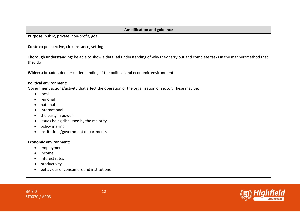#### **Amplification and guidance**

**Purpose:** public, private, non-profit, goal

**Context:** perspective, circumstance, setting

**Thorough understanding:** be able to show a **detailed** understanding of why they carry out and complete tasks in the manner/method that they do

**Wider:** a broader, deeper understanding of the political **and** economic environment

#### **Political environment:**

Government actions/activity that affect the operation of the organisation or sector. These may be:

- local
- regional
- national
- international
- the party in power
- issues being discussed by the majority
- policy making
- institutions/government departments

#### **Economic environment:**

- employment
- income
- interest rates
- productivity
- behaviour of consumers and institutions

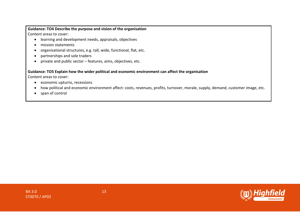#### **Guidance: TO4 Describe the purpose and vision of the organisation** Content areas to cover:

- learning and development needs, appraisals, objectives
- mission statements
- organisational structures, e.g. tall, wide, functional, flat, etc.
- partnerships and sole traders
- private and public sector features, aims, objectives, etc.

#### **Guidance: TO5 Explain how the wider political and economic environment can affect the organisation**

Content areas to cover:

- economic upturns, recessions
- how political and economic environment affect: costs, revenues, profits, turnover, morale, supply, demand, customer image, etc.
- span of control

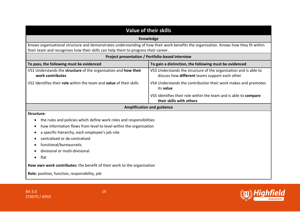| <b>Value of their skills</b>                                                                                                                                                                                               |                                                                                                                    |  |
|----------------------------------------------------------------------------------------------------------------------------------------------------------------------------------------------------------------------------|--------------------------------------------------------------------------------------------------------------------|--|
| Knowledge                                                                                                                                                                                                                  |                                                                                                                    |  |
| Knows organisational structure and demonstrates understanding of how their work benefits the organisation. Knows how they fit within<br>their team and recognises how their skills can help them to progress their career. |                                                                                                                    |  |
| Project presentation / Portfolio-based interview                                                                                                                                                                           |                                                                                                                    |  |
| To pass, the following must be evidenced                                                                                                                                                                                   | To gain a distinction, the following must be evidenced                                                             |  |
| VS1 Understands the structure of the organisation and how their<br>work contributes                                                                                                                                        | VS3 Understands the structure of the organisation and is able to<br>discuss how different teams support each other |  |
| VS2 Identifies their role within the team and value of their skills                                                                                                                                                        | VS4 Understands the contribution their work makes and promotes<br>its value                                        |  |
|                                                                                                                                                                                                                            | VS5 Identifies their role within the team and is able to compare<br>their skills with others                       |  |
|                                                                                                                                                                                                                            | <b>Amplification and guidance</b>                                                                                  |  |
| <b>Structure:</b>                                                                                                                                                                                                          |                                                                                                                    |  |
| the rules and policies which define work roles and responsibilities                                                                                                                                                        |                                                                                                                    |  |
| how information flows from level to level within the organisation                                                                                                                                                          |                                                                                                                    |  |
| a specific hierarchy, each employee's job role                                                                                                                                                                             |                                                                                                                    |  |
| centralised or de-centralised                                                                                                                                                                                              |                                                                                                                    |  |
| functional/bureaucratic                                                                                                                                                                                                    |                                                                                                                    |  |
| divisional or multi-divisional                                                                                                                                                                                             |                                                                                                                    |  |
| flat                                                                                                                                                                                                                       |                                                                                                                    |  |
| How own work contributes: the benefit of their work to the organisation                                                                                                                                                    |                                                                                                                    |  |
| Role: position, function, responsibility, job                                                                                                                                                                              |                                                                                                                    |  |

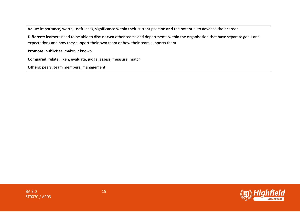**Value:** importance, worth, usefulness, significance within their current position **and** the potential to advance their career

**Different:** learners need to be able to discuss **two** other teams and departments within the organisation that have separate goals and expectations and how they support their own team or how their team supports them

**Promote:** publicises, makes it known

**Compared:** relate, liken, evaluate, judge, assess, measure, match

**Others:** peers, team members, management

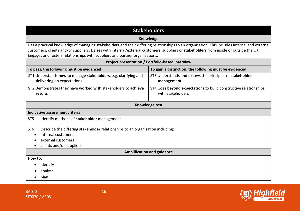| <b>Stakeholders</b>                                                                                                                                                                                                                                                                                                                                                    |                                                                                       |  |  |
|------------------------------------------------------------------------------------------------------------------------------------------------------------------------------------------------------------------------------------------------------------------------------------------------------------------------------------------------------------------------|---------------------------------------------------------------------------------------|--|--|
| Knowledge                                                                                                                                                                                                                                                                                                                                                              |                                                                                       |  |  |
| Has a practical knowledge of managing stakeholders and their differing relationships to an organisation. This includes internal and external<br>customers, clients and/or suppliers. Liaises with internal/external customers, suppliers or stakeholders from inside or outside the UK.<br>Engages and fosters relationships with suppliers and partner organisations. |                                                                                       |  |  |
|                                                                                                                                                                                                                                                                                                                                                                        | Project presentation / Portfolio-based interview                                      |  |  |
| To pass, the following must be evidenced                                                                                                                                                                                                                                                                                                                               | To gain a distinction, the following must be evidenced                                |  |  |
| ST1 Understands how to manage stakeholders, e.g. clarifying and<br>delivering on expectations                                                                                                                                                                                                                                                                          | ST3 Understands and follows the principles of stakeholder<br>management               |  |  |
| ST2 Demonstrates they have worked with stakeholders to achieve<br>results                                                                                                                                                                                                                                                                                              | ST4 Goes beyond expectations to build constructive relationships<br>with stakeholders |  |  |
|                                                                                                                                                                                                                                                                                                                                                                        | Knowledge test                                                                        |  |  |
| Indicative assessment criteria                                                                                                                                                                                                                                                                                                                                         |                                                                                       |  |  |
| ST <sub>5</sub><br>Identify methods of stakeholder management                                                                                                                                                                                                                                                                                                          |                                                                                       |  |  |
| Describe the differing stakeholder relationships to an organisation including:<br>ST <sub>6</sub><br>internal customers<br>external customers<br>clients and/or suppliers                                                                                                                                                                                              |                                                                                       |  |  |
| <b>Amplification and guidance</b>                                                                                                                                                                                                                                                                                                                                      |                                                                                       |  |  |
| How to:                                                                                                                                                                                                                                                                                                                                                                |                                                                                       |  |  |
| identify                                                                                                                                                                                                                                                                                                                                                               |                                                                                       |  |  |
| analyse                                                                                                                                                                                                                                                                                                                                                                |                                                                                       |  |  |
| plan                                                                                                                                                                                                                                                                                                                                                                   |                                                                                       |  |  |

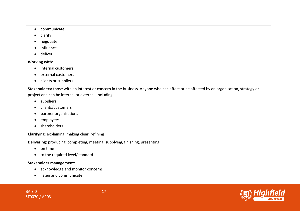- communicate
- clarify
- negotiate
- influence
- deliver

#### **Working with:**

- internal customers
- external customers
- clients or suppliers

**Stakeholders:** those with an interest or concern in the business. Anyone who can affect or be affected by an organisation, strategy or project and can be internal or external, including:

- suppliers
- clients/customers
- partner organisations
- employees
- shareholders

**Clarifying:** explaining, making clear, refining

**Delivering:** producing, completing, meeting, supplying, finishing, presenting

- on time
- to the required level/standard

#### **Stakeholder management:**

- acknowledge and monitor concerns
- listen and communicate

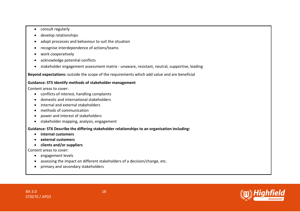- consult regularly
- develop relationships
- adopt processes and behaviour to suit the situation
- recognise interdependence of actions/teams
- work cooperatively
- acknowledge potential conflicts
- stakeholder engagement assessment matrix unaware, resistant, neutral, supportive, leading

**Beyond expectations:** outside the scope of the requirements which add value and are beneficial

#### **Guidance: ST5 Identify methods of stakeholder management**

Content areas to cover:

- conflicts of interest, handling complaints
- domestic and international stakeholders
- internal and external stakeholders
- methods of communication
- power and interest of stakeholders
- stakeholder mapping, analysis, engagement

**Guidance: ST6 Describe the differing stakeholder relationships to an organisation including:**

- **internal customers**
- **external customers**
- **clients and/or suppliers**

Content areas to cover:

- engagement levels
- assessing the impact on different stakeholders of a decision/change, etc.
- primary and secondary stakeholders

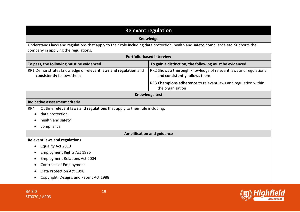| <b>Relevant regulation</b>                                                                                                                                                   |                                                                                                  |  |
|------------------------------------------------------------------------------------------------------------------------------------------------------------------------------|--------------------------------------------------------------------------------------------------|--|
|                                                                                                                                                                              | Knowledge                                                                                        |  |
| Understands laws and regulations that apply to their role including data protection, health and safety, compliance etc. Supports the<br>company in applying the regulations. |                                                                                                  |  |
| <b>Portfolio-based interview</b>                                                                                                                                             |                                                                                                  |  |
| To pass, the following must be evidenced<br>To gain a distinction, the following must be evidenced                                                                           |                                                                                                  |  |
| RR1 Demonstrates knowledge of relevant laws and regulation and<br>consistently follows them                                                                                  | RR2 Shows a thorough knowledge of relevant laws and regulations<br>and consistently follows them |  |
|                                                                                                                                                                              | RR3 Champions adherence to relevant laws and regulation within<br>the organisation               |  |
|                                                                                                                                                                              | <b>Knowledge test</b>                                                                            |  |
| Indicative assessment criteria                                                                                                                                               |                                                                                                  |  |
| Outline relevant laws and regulations that apply to their role including:<br>RR4                                                                                             |                                                                                                  |  |
| data protection                                                                                                                                                              |                                                                                                  |  |
| health and safety                                                                                                                                                            |                                                                                                  |  |
| compliance<br>$\bullet$                                                                                                                                                      |                                                                                                  |  |
|                                                                                                                                                                              | <b>Amplification and guidance</b>                                                                |  |
| <b>Relevant laws and regulations</b>                                                                                                                                         |                                                                                                  |  |
| Equality Act 2010                                                                                                                                                            |                                                                                                  |  |
| <b>Employment Rights Act 1996</b>                                                                                                                                            |                                                                                                  |  |
| <b>Employment Relations Act 2004</b>                                                                                                                                         |                                                                                                  |  |
| <b>Contracts of Employment</b>                                                                                                                                               |                                                                                                  |  |
| Data Protection Act 1998                                                                                                                                                     |                                                                                                  |  |
| Copyright, Designs and Patent Act 1988                                                                                                                                       |                                                                                                  |  |

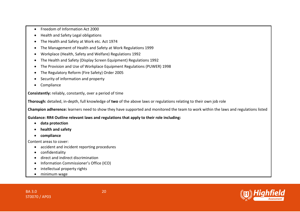- Freedom of Information Act 2000
- Health and Safety Legal obligations
- The Health and Safety at Work etc. Act 1974
- The Management of Health and Safety at Work Regulations 1999
- Workplace (Health, Safety and Welfare) Regulations 1992
- The Health and Safety (Display Screen Equipment) Regulations 1992
- The Provision and Use of Workplace Equipment Regulations (PUWER) 1998
- The Regulatory Reform (Fire Safety) Order 2005
- Security of information and property
- Compliance

**Consistently:** reliably, constantly, over a period of time

**Thorough:** detailed, in-depth, full knowledge of **two** of the above laws or regulations relating to their own job role

**Champion adherence:** learners need to show they have supported and monitored the team to work within the laws and regulations listed

**Guidance: RR4 Outline relevant laws and regulations that apply to their role including:**

- **data protection**
- **health and safety**
- **compliance**

Content areas to cover:

- accident and incident reporting procedures
- confidentiality
- direct and indirect discrimination
- Information Commissioner's Office (ICO)
- intellectual property rights
- minimum wage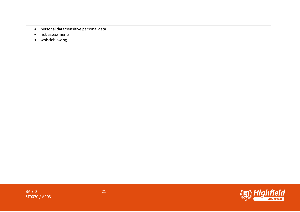- personal data/sensitive personal data
- risk assessments
- whistleblowing

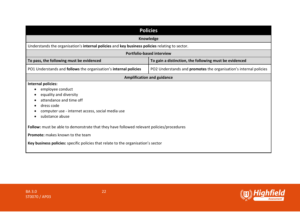| <b>Policies</b>                                                                                                                                                                                                                                                                           |                                                                          |  |
|-------------------------------------------------------------------------------------------------------------------------------------------------------------------------------------------------------------------------------------------------------------------------------------------|--------------------------------------------------------------------------|--|
| <b>Knowledge</b>                                                                                                                                                                                                                                                                          |                                                                          |  |
| Understands the organisation's internal policies and key business policies relating to sector.                                                                                                                                                                                            |                                                                          |  |
|                                                                                                                                                                                                                                                                                           | <b>Portfolio-based interview</b>                                         |  |
| To pass, the following must be evidenced                                                                                                                                                                                                                                                  | To gain a distinction, the following must be evidenced                   |  |
| PO1 Understands and follows the organisation's internal policies                                                                                                                                                                                                                          | PO2 Understands and <b>promotes</b> the organisation's internal policies |  |
|                                                                                                                                                                                                                                                                                           | <b>Amplification and guidance</b>                                        |  |
| Internal policies:<br>employee conduct<br>equality and diversity<br>attendance and time off<br>dress code<br>computer use - internet access, social media use<br>substance abuse<br>$\bullet$<br>Follow: must be able to demonstrate that they have followed relevant policies/procedures |                                                                          |  |
| <b>Promote:</b> makes known to the team<br>Key business policies: specific policies that relate to the organisation's sector                                                                                                                                                              |                                                                          |  |



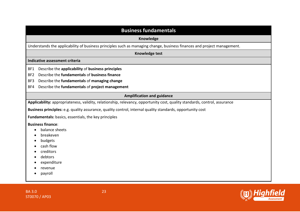| <b>Business fundamentals</b>                                                                                               |  |  |
|----------------------------------------------------------------------------------------------------------------------------|--|--|
| Knowledge                                                                                                                  |  |  |
| Understands the applicability of business principles such as managing change, business finances and project management.    |  |  |
| <b>Knowledge test</b>                                                                                                      |  |  |
| Indicative assessment criteria                                                                                             |  |  |
| Describe the applicability of business principles<br>BF1                                                                   |  |  |
| Describe the fundamentals of business finance<br>BF <sub>2</sub>                                                           |  |  |
| Describe the fundamentals of managing change<br>BF3                                                                        |  |  |
| Describe the fundamentals of project management<br>BF4                                                                     |  |  |
| <b>Amplification and guidance</b>                                                                                          |  |  |
| Applicability: appropriateness, validity, relationship, relevancy, opportunity cost, quality standards, control, assurance |  |  |
| Business principles: e.g. quality assurance, quality control, internal quality standards, opportunity cost                 |  |  |
| Fundamentals: basics, essentials, the key principles                                                                       |  |  |
| <b>Business finance:</b>                                                                                                   |  |  |
| balance sheets                                                                                                             |  |  |
| breakeven                                                                                                                  |  |  |
| budgets                                                                                                                    |  |  |
| cash flow                                                                                                                  |  |  |
| creditors                                                                                                                  |  |  |
| debtors                                                                                                                    |  |  |
| expenditure                                                                                                                |  |  |
| revenue                                                                                                                    |  |  |
| payroll                                                                                                                    |  |  |
|                                                                                                                            |  |  |



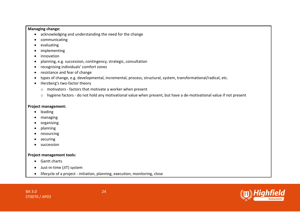#### **Managing change:**

- acknowledging and understanding the need for the change
- communicating
- evaluating
- implementing
- innovation
- planning, e.g. succession, contingency, strategic, consultation
- recognising individuals' comfort zones
- resistance and fear of change
- types of change, e.g. developmental, incremental, process, structural, system, transformational/radical, etc.
- Herzberg's two-factor theory
	- o motivators factors that motivate a worker when present
	- o hygiene factors do not hold any motivational value when present, but have a de-motivational value if not present

#### **Project management:**

- leading
- managing
- organising
- planning
- resourcing
- securing
- succession

#### **Project management tools:**

- Gantt charts
- Just-in-time (JIT) system
- lifecycle of a project initiation, planning, execution, monitoring, close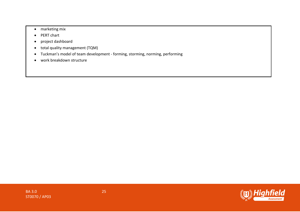- marketing mix
- PERT chart
- project dashboard
- total quality management (TQM)
- Tuckman's model of team development forming, storming, norming, performing
- work breakdown structure

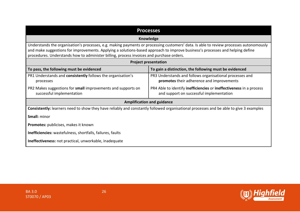| <b>Processes</b>                                                                                                                                                                                                                                                                                                                                                    |                                                                                                                 |  |  |
|---------------------------------------------------------------------------------------------------------------------------------------------------------------------------------------------------------------------------------------------------------------------------------------------------------------------------------------------------------------------|-----------------------------------------------------------------------------------------------------------------|--|--|
|                                                                                                                                                                                                                                                                                                                                                                     | Knowledge                                                                                                       |  |  |
| Understands the organisation's processes, e.g. making payments or processing customers' data. Is able to review processes autonomously<br>and make suggestions for improvements. Applying a solutions-based approach to improve business's processes and helping define<br>procedures. Understands how to administer billing, process invoices and purchase orders. |                                                                                                                 |  |  |
|                                                                                                                                                                                                                                                                                                                                                                     | <b>Project presentation</b>                                                                                     |  |  |
| To pass, the following must be evidenced                                                                                                                                                                                                                                                                                                                            | To gain a distinction, the following must be evidenced                                                          |  |  |
| PR1 Understands and consistently follows the organisation's<br>processes                                                                                                                                                                                                                                                                                            | PR3 Understands and follows organisational processes and<br>promotes their adherence and improvements           |  |  |
| PR2 Makes suggestions for small improvements and supports on<br>successful implementation                                                                                                                                                                                                                                                                           | PR4 Able to identify inefficiencies or ineffectiveness in a process<br>and support on successful implementation |  |  |
| <b>Amplification and guidance</b>                                                                                                                                                                                                                                                                                                                                   |                                                                                                                 |  |  |
| Consistently: learners need to show they have reliably and constantly followed organisational processes and be able to give 3 examples                                                                                                                                                                                                                              |                                                                                                                 |  |  |
| <b>Small:</b> minor                                                                                                                                                                                                                                                                                                                                                 |                                                                                                                 |  |  |
| Promotes: publicises, makes it known                                                                                                                                                                                                                                                                                                                                |                                                                                                                 |  |  |
| Inefficiencies: wastefulness, shortfalls, failures, faults                                                                                                                                                                                                                                                                                                          |                                                                                                                 |  |  |
| Ineffectiveness: not practical, unworkable, inadequate                                                                                                                                                                                                                                                                                                              |                                                                                                                 |  |  |

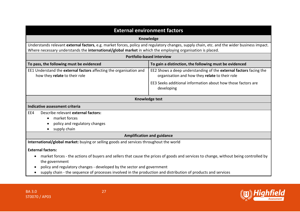| <b>External environment factors</b>                                                                                                                                                                                                                       |                                                                                                                                      |  |
|-----------------------------------------------------------------------------------------------------------------------------------------------------------------------------------------------------------------------------------------------------------|--------------------------------------------------------------------------------------------------------------------------------------|--|
|                                                                                                                                                                                                                                                           | Knowledge                                                                                                                            |  |
| Understands relevant external factors, e.g. market forces, policy and regulatory changes, supply chain, etc. and the wider business impact.<br>Where necessary understands the international/global market in which the employing organisation is placed. |                                                                                                                                      |  |
|                                                                                                                                                                                                                                                           | <b>Portfolio-based interview</b>                                                                                                     |  |
| To pass, the following must be evidenced                                                                                                                                                                                                                  | To gain a distinction, the following must be evidenced                                                                               |  |
| EE1 Understand the external factors affecting the organisation and<br>how they relate to their role                                                                                                                                                       | EE2 Shows a deep understanding of the external factors facing the<br>organisation and how they relate to their role                  |  |
|                                                                                                                                                                                                                                                           | EE3 Seeks additional information about how those factors are<br>developing                                                           |  |
|                                                                                                                                                                                                                                                           | Knowledge test                                                                                                                       |  |
| Indicative assessment criteria                                                                                                                                                                                                                            |                                                                                                                                      |  |
| Describe relevant external factors:<br>EE4                                                                                                                                                                                                                |                                                                                                                                      |  |
| market forces                                                                                                                                                                                                                                             |                                                                                                                                      |  |
| policy and regulatory changes                                                                                                                                                                                                                             |                                                                                                                                      |  |
| supply chain                                                                                                                                                                                                                                              |                                                                                                                                      |  |
| <b>Amplification and guidance</b>                                                                                                                                                                                                                         |                                                                                                                                      |  |
| International/global market: buying or selling goods and services throughout the world                                                                                                                                                                    |                                                                                                                                      |  |
| <b>External factors:</b>                                                                                                                                                                                                                                  |                                                                                                                                      |  |
| $\bullet$<br>the government                                                                                                                                                                                                                               | market forces - the actions of buyers and sellers that cause the prices of goods and services to change, without being controlled by |  |
| policy and regulatory changes - developed by the sector and government                                                                                                                                                                                    |                                                                                                                                      |  |
| supply chain - the sequence of processes involved in the production and distribution of products and services                                                                                                                                             |                                                                                                                                      |  |

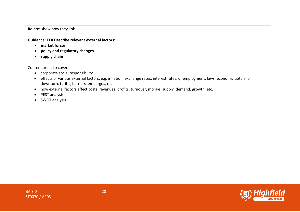**Relate:** show how they link

**Guidance: EE4 Describe relevant external factors:**

- **market forces**
- **policy and regulatory changes**
- **supply chain**

Content areas to cover:

- corporate social responsibility
- effects of various external factors, e.g. inflation, exchange rates, interest rates, unemployment, laws, economic upturn or downturn, tariffs, barriers, embargos, etc.
- how external factors affect costs, revenues, profits, turnover, morale, supply, demand, growth, etc.
- PEST analysis
- SWOT analysis

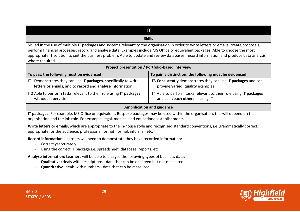### **IT**

#### **Skills**

Skilled in the use of multiple IT packages and systems relevant to the organisation in order to write letters or emails, create proposals, perform financial processes, record and analyse data. Examples include MS Office or equivalent packages. Able to choose the most appropriate IT solution to suit the business problem. Able to update and review databases, record information and produce data analysis where required.

| Project presentation / Portfolio-based interview                                                                             |                                                                                                        |  |
|------------------------------------------------------------------------------------------------------------------------------|--------------------------------------------------------------------------------------------------------|--|
| To pass, the following must be evidenced                                                                                     | To gain a distinction, the following must be evidenced                                                 |  |
| IT1 Demonstrates they can use IT packages, specifically to write<br>letters or emails, and to record and analyse information | IT3 Consistently demonstrates they can use IT packages and can<br>provide varied, quality examples     |  |
| IT2 Able to perform tasks relevant to their role using IT packages<br>without supervision                                    | IT4 Able to perform tasks relevant to their role using IT packages<br>and can coach others in using IT |  |
|                                                                                                                              |                                                                                                        |  |

#### **Amplification and guidance**

**IT packages:** For example, MS Office or equivalent. Bespoke packages may be used within the organisation, this will depend on the organisation and the job role. For example, legal, medical and educational establishments.

**Write letters or emails,** which are appropriate to the in-house style and recognised standard conventions, i.e. grammatically correct, appropriate for the audience, professional format, formal, informal, etc.

**Record information:** Learners will need to demonstrate they have recorded information:

- Correctly/accurately
- Using the correct IT package i.e. spreadsheet, database, reports, etc.

**Analyse information:** Learners will be able to analyse the following types of business data:

- **Qualitative:** deals with descriptions data that can be observed but not measured
- **Quantitative:** deals with numbers data that can be measured

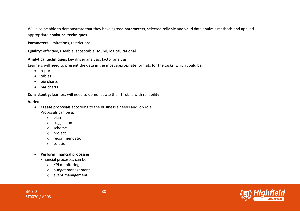Will also be able to demonstrate that they have agreed **parameters**, selected **reliable** and **valid** data analysis methods and applied appropriate **analytical techniques**.

**Parameters:** limitations, restrictions

**Quality:** effective, useable, acceptable, sound, logical, rational

**Analytical techniques:** key driver analysis, factor analysis

Learners will need to present the data in the most appropriate formats for the tasks, which could be:

- reports
- tables
- pie charts
- bar charts

**Consistently:** learners will need to demonstrate their IT skills with reliability

**Varied:** 

- **Create proposals** according to the business's needs and job role Proposals can be a:
	- o plan
	- o suggestion
	- o scheme
	- o project
	- o recommendation
	- o solution
- **Perform financial processes**

Financial processes can be:

- o KPI monitoring
- o budget management
- o event management

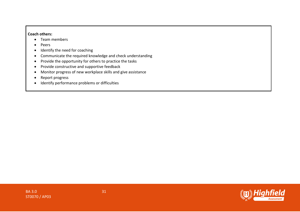#### **Coach others:**

- Team members
- Peers
- Identify the need for coaching
- Communicate the required knowledge and check understanding
- Provide the opportunity for others to practice the tasks
- Provide constructive and supportive feedback
- Monitor progress of new workplace skills and give assistance
- Report progress
- Identify performance problems or difficulties

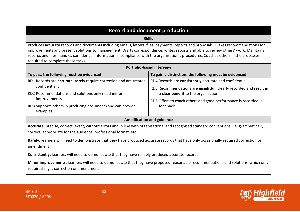|  | <b>Record and document production</b> |  |
|--|---------------------------------------|--|
|  |                                       |  |

#### **Skills**

Produces **accurate** records and documents including emails, letters, files, payments, reports and proposals. Makes recommendations for improvements and present solutions to management. Drafts correspondence, writes reports and able to review others' work. Maintains records and files, handles confidential information in compliance with the organisation's procedures. Coaches others in the processes required to complete these tasks.

| <b>Portfolio-based interview</b>                                                                                                                                                                              |                                                                                                                                      |  |
|---------------------------------------------------------------------------------------------------------------------------------------------------------------------------------------------------------------|--------------------------------------------------------------------------------------------------------------------------------------|--|
| To pass, the following must be evidenced                                                                                                                                                                      | To gain a distinction, the following must be evidenced                                                                               |  |
| RD1 Records are accurate, rarely require correction and are treated<br>confidentially                                                                                                                         | RD4 Records are consistently accurate and confidential<br>RD5 Recommendations are <b>insightful</b> , clearly recorded and result in |  |
| RD2 Recommendations and solutions only need minor<br><i>improvements</i>                                                                                                                                      | a clear benefit to the organisation<br>RD6 Offers to coach others and good performance is recorded in                                |  |
| RD3 Supports others in producing documents and can provide<br>examples                                                                                                                                        | feedback                                                                                                                             |  |
| <b>Amplification and guidance</b>                                                                                                                                                                             |                                                                                                                                      |  |
| Accurate: precise, correct, exact, without errors and in line with organisational and recognised standard conventions, i.e. grammatically<br>correct, appropriate for the audience, professional format, etc. |                                                                                                                                      |  |
| Rarely: learners will need to demonstrate that they have produced accurate records that have only occasionally required correction or<br>amendment                                                            |                                                                                                                                      |  |
| <b>Consistently:</b> learners will need to demonstrate that they have reliably produced accurate records                                                                                                      |                                                                                                                                      |  |
| Minor improvements: learners will need to demonstrate that they have proposed reasonable recommendations and solutions, which only<br>required slight correction or amendment                                 |                                                                                                                                      |  |

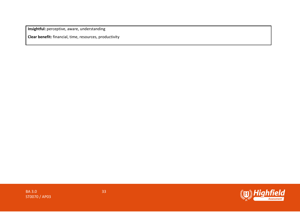**Insightful:** perceptive, aware, understanding

**Clear benefit:** financial, time, resources, productivity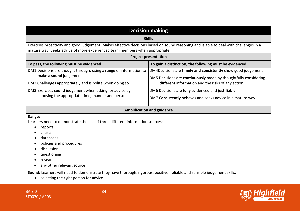| <b>Decision making</b>                                                                                                                                                                                                    |                                                                                                                      |  |
|---------------------------------------------------------------------------------------------------------------------------------------------------------------------------------------------------------------------------|----------------------------------------------------------------------------------------------------------------------|--|
| <b>Skills</b>                                                                                                                                                                                                             |                                                                                                                      |  |
| Exercises proactivity and good judgement. Makes effective decisions based on sound reasoning and is able to deal with challenges in a<br>mature way. Seeks advice of more experienced team members when appropriate.      |                                                                                                                      |  |
| <b>Project presentation</b>                                                                                                                                                                                               |                                                                                                                      |  |
| To pass, the following must be evidenced                                                                                                                                                                                  | To gain a distinction, the following must be evidenced                                                               |  |
| DM1 Decisions are thought through, using a range of information to                                                                                                                                                        | DM4Decisions are timely and consistently show good judgement                                                         |  |
| make a sound judgement<br>DM2 Challenges appropriately and is polite when doing so                                                                                                                                        | DM5 Decisions are continuously made by thoughtfully considering<br>different information and the risks of any action |  |
| DM3 Exercises sound judgement when asking for advice by<br>choosing the appropriate time, manner and person                                                                                                               | DM6 Decisions are fully evidenced and justifiable                                                                    |  |
|                                                                                                                                                                                                                           | DM7 Consistently behaves and seeks advice in a mature way                                                            |  |
|                                                                                                                                                                                                                           |                                                                                                                      |  |
| <b>Amplification and guidance</b>                                                                                                                                                                                         |                                                                                                                      |  |
| Range:<br>Learners need to demonstrate the use of three different information sources:<br>reports<br>charts<br>databases<br>policies and procedures<br>discussion<br>questioning<br>research<br>any other relevant source |                                                                                                                      |  |
| Sound: Learners will need to demonstrate they have thorough, rigorous, positive, reliable and sensible judgement skills:<br>selecting the right person for advice                                                         |                                                                                                                      |  |



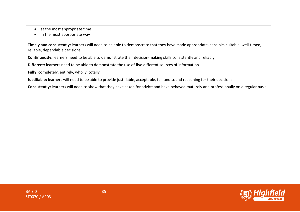- at the most appropriate time
- in the most appropriate way

**Timely and consistently:** learners will need to be able to demonstrate that they have made appropriate, sensible, suitable, well-timed, reliable, dependable decisions

**Continuously:** learners need to be able to demonstrate their decision-making skills consistently and reliably

**Different:** learners need to be able to demonstrate the use of **five** different sources of information

**Fully:** completely, entirely, wholly, totally

**Justifiable:** learners will need to be able to provide justifiable, acceptable, fair and sound reasoning for their decisions.

**Consistently:** learners will need to show that they have asked for advice and have behaved maturely and professionally on a regular basis

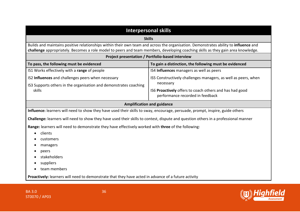| <b>Interpersonal skills</b>                                                                                                                                                                                                                                              |                                                                                             |  |
|--------------------------------------------------------------------------------------------------------------------------------------------------------------------------------------------------------------------------------------------------------------------------|---------------------------------------------------------------------------------------------|--|
| <b>Skills</b>                                                                                                                                                                                                                                                            |                                                                                             |  |
| Builds and maintains positive relationships within their own team and across the organisation. Demonstrates ability to influence and<br>challenge appropriately. Becomes a role model to peers and team members, developing coaching skills as they gain area knowledge. |                                                                                             |  |
| Project presentation / Portfolio-based interview                                                                                                                                                                                                                         |                                                                                             |  |
| To pass, the following must be evidenced                                                                                                                                                                                                                                 | To gain a distinction, the following must be evidenced                                      |  |
| IS1 Works effectively with a range of people                                                                                                                                                                                                                             | IS4 Influences managers as well as peers                                                    |  |
| IS2 Influences and challenges peers when necessary                                                                                                                                                                                                                       | IS5 Constructively challenges managers, as well as peers, when                              |  |
| IS3 Supports others in the organisation and demonstrates coaching                                                                                                                                                                                                        | necessary                                                                                   |  |
| skills                                                                                                                                                                                                                                                                   | IS6 Proactively offers to coach others and has had good<br>performance recorded in feedback |  |
|                                                                                                                                                                                                                                                                          | <b>Amplification and guidance</b>                                                           |  |
| Influence: learners will need to show they have used their skills to sway, encourage, persuade, prompt, inspire, guide others                                                                                                                                            |                                                                                             |  |
| Challenge: learners will need to show they have used their skills to contest, dispute and question others in a professional manner                                                                                                                                       |                                                                                             |  |
| Range: learners will need to demonstrate they have effectively worked with three of the following:                                                                                                                                                                       |                                                                                             |  |
| clients                                                                                                                                                                                                                                                                  |                                                                                             |  |
| <b>customers</b>                                                                                                                                                                                                                                                         |                                                                                             |  |
| managers                                                                                                                                                                                                                                                                 |                                                                                             |  |
| peers                                                                                                                                                                                                                                                                    |                                                                                             |  |
| stakeholders                                                                                                                                                                                                                                                             |                                                                                             |  |
| suppliers                                                                                                                                                                                                                                                                |                                                                                             |  |
| team members                                                                                                                                                                                                                                                             |                                                                                             |  |
| Proactively: learners will need to demonstrate that they have acted in advance of a future activity                                                                                                                                                                      |                                                                                             |  |



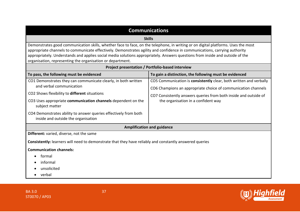| <b>Communications</b>                                                                                                                                                                                                                                                                                                                                                                                                                                                                                              |                                                                                                                                                                                                                                                |  |
|--------------------------------------------------------------------------------------------------------------------------------------------------------------------------------------------------------------------------------------------------------------------------------------------------------------------------------------------------------------------------------------------------------------------------------------------------------------------------------------------------------------------|------------------------------------------------------------------------------------------------------------------------------------------------------------------------------------------------------------------------------------------------|--|
| <b>Skills</b>                                                                                                                                                                                                                                                                                                                                                                                                                                                                                                      |                                                                                                                                                                                                                                                |  |
| Demonstrates good communication skills, whether face to face, on the telephone, in writing or on digital platforms. Uses the most<br>appropriate channels to communicate effectively. Demonstrates agility and confidence in communications, carrying authority<br>appropriately. Understands and applies social media solutions appropriately. Answers questions from inside and outside of the<br>organisation, representing the organisation or department.<br>Project presentation / Portfolio-based interview |                                                                                                                                                                                                                                                |  |
| To pass, the following must be evidenced<br>To gain a distinction, the following must be evidenced                                                                                                                                                                                                                                                                                                                                                                                                                 |                                                                                                                                                                                                                                                |  |
| CO1 Demonstrates they can communicate clearly, in both written<br>and verbal communication<br>CO2 Shows flexibility to different situations<br>CO3 Uses appropriate communication channels dependent on the<br>subject matter<br>CO4 Demonstrates ability to answer queries effectively from both<br>inside and outside the organisation                                                                                                                                                                           | CO5 Communication is consistently clear, both written and verbally<br>CO6 Champions an appropriate choice of communication channels<br>CO7 Consistently answers queries from both inside and outside of<br>the organisation in a confident way |  |
| <b>Amplification and guidance</b>                                                                                                                                                                                                                                                                                                                                                                                                                                                                                  |                                                                                                                                                                                                                                                |  |
| Different: varied, diverse, not the same<br><b>Consistently:</b> learners will need to demonstrate that they have reliably and constantly answered queries<br><b>Communication channels:</b><br>formal<br>informal<br>unsolicited                                                                                                                                                                                                                                                                                  |                                                                                                                                                                                                                                                |  |
| verbal                                                                                                                                                                                                                                                                                                                                                                                                                                                                                                             |                                                                                                                                                                                                                                                |  |

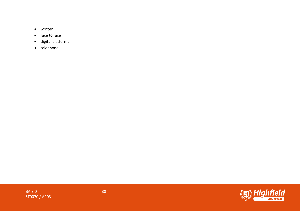- written
- face to face
- digital platforms
- telephone

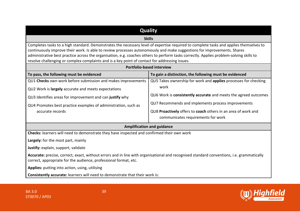| <b>Quality</b>                                                                                                                                                                                                                                                                                                                                                                                                                                                                                                 |                                                                 |  |
|----------------------------------------------------------------------------------------------------------------------------------------------------------------------------------------------------------------------------------------------------------------------------------------------------------------------------------------------------------------------------------------------------------------------------------------------------------------------------------------------------------------|-----------------------------------------------------------------|--|
| <b>Skills</b>                                                                                                                                                                                                                                                                                                                                                                                                                                                                                                  |                                                                 |  |
| Completes tasks to a high standard. Demonstrates the necessary level of expertise required to complete tasks and applies themselves to<br>continuously improve their work. Is able to review processes autonomously and make suggestions for improvements. Shares<br>administrative best practice across the organisation, e.g. coaches others to perform tasks correctly. Applies problem-solving skills to<br>resolve challenging or complex complaints and is a key point of contact for addressing issues. |                                                                 |  |
| Portfolio-based interview                                                                                                                                                                                                                                                                                                                                                                                                                                                                                      |                                                                 |  |
| To pass, the following must be evidenced                                                                                                                                                                                                                                                                                                                                                                                                                                                                       | To gain a distinction, the following must be evidenced          |  |
| QU1 Checks own work before submission and makes improvements                                                                                                                                                                                                                                                                                                                                                                                                                                                   | QU5 Takes ownership for work and applies processes for checking |  |
| QU2 Work is largely accurate and meets expectations                                                                                                                                                                                                                                                                                                                                                                                                                                                            | work                                                            |  |
| QU3 Identifies areas for improvement and can justify why                                                                                                                                                                                                                                                                                                                                                                                                                                                       | QU6 Work is consistently accurate and meets the agreed outcomes |  |
| QU4 Promotes best practice examples of administration, such as                                                                                                                                                                                                                                                                                                                                                                                                                                                 | QU7 Recommends and implements process improvements              |  |
| accurate records                                                                                                                                                                                                                                                                                                                                                                                                                                                                                               | QU8 Proactively offers to coach others in an area of work and   |  |
|                                                                                                                                                                                                                                                                                                                                                                                                                                                                                                                | communicates requirements for work                              |  |
|                                                                                                                                                                                                                                                                                                                                                                                                                                                                                                                | <b>Amplification and guidance</b>                               |  |
| Checks: learners will need to demonstrate they have inspected and confirmed their own work                                                                                                                                                                                                                                                                                                                                                                                                                     |                                                                 |  |
| Largely: for the most part, mainly                                                                                                                                                                                                                                                                                                                                                                                                                                                                             |                                                                 |  |
| Justify: explain, support, validate                                                                                                                                                                                                                                                                                                                                                                                                                                                                            |                                                                 |  |
| Accurate: precise, correct, exact, without errors and in line with organisational and recognised standard conventions, i.e. grammatically<br>correct, appropriate for the audience, professional format, etc.                                                                                                                                                                                                                                                                                                  |                                                                 |  |
| Applies: putting into action, using, utilising                                                                                                                                                                                                                                                                                                                                                                                                                                                                 |                                                                 |  |
| Consistently accurate: learners will need to demonstrate that their work is:                                                                                                                                                                                                                                                                                                                                                                                                                                   |                                                                 |  |



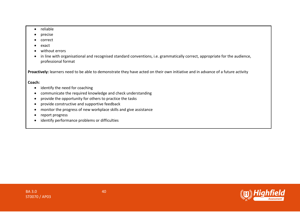- reliable
- precise
- correct
- exact
- without errors
- in line with organisational and recognised standard conventions, i.e. grammatically correct, appropriate for the audience, professional format

Proactively: learners need to be able to demonstrate they have acted on their own initiative and in advance of a future activity

#### **Coach:**

- identify the need for coaching
- communicate the required knowledge and check understanding
- provide the opportunity for others to practice the tasks
- provide constructive and supportive feedback
- monitor the progress of new workplace skills and give assistance
- report progress
- identify performance problems or difficulties

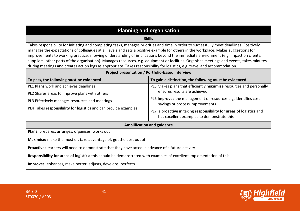| <b>Planning and organisation</b>                                                                                                                                                                                                                                                                                                                                                                                                                                                                                                                                                                                                                                                                                                                      |                                                                                                                                                                                                                                                                                                                              |  |
|-------------------------------------------------------------------------------------------------------------------------------------------------------------------------------------------------------------------------------------------------------------------------------------------------------------------------------------------------------------------------------------------------------------------------------------------------------------------------------------------------------------------------------------------------------------------------------------------------------------------------------------------------------------------------------------------------------------------------------------------------------|------------------------------------------------------------------------------------------------------------------------------------------------------------------------------------------------------------------------------------------------------------------------------------------------------------------------------|--|
| <b>Skills</b>                                                                                                                                                                                                                                                                                                                                                                                                                                                                                                                                                                                                                                                                                                                                         |                                                                                                                                                                                                                                                                                                                              |  |
| Takes responsibility for initiating and completing tasks, manages priorities and time in order to successfully meet deadlines. Positively<br>manages the expectations of colleagues at all levels and sets a positive example for others in the workplace. Makes suggestions for<br>improvements to working practice, showing understanding of implications beyond the immediate environment (e.g. impact on clients,<br>suppliers, other parts of the organisation). Manages resources, e.g. equipment or facilities. Organises meetings and events, takes minutes<br>during meetings and creates action logs as appropriate. Takes responsibility for logistics, e.g. travel and accommodation.<br>Project presentation / Portfolio-based interview |                                                                                                                                                                                                                                                                                                                              |  |
| To pass, the following must be evidenced                                                                                                                                                                                                                                                                                                                                                                                                                                                                                                                                                                                                                                                                                                              | To gain a distinction, the following must be evidenced                                                                                                                                                                                                                                                                       |  |
| PL1 Plans work and achieves deadlines<br>PL2 Shares areas to improve plans with others<br>PL3 Effectively manages resources and meetings<br>PL4 Takes responsibility for logistics and can provide examples                                                                                                                                                                                                                                                                                                                                                                                                                                                                                                                                           | PL5 Makes plans that efficiently maximise resources and personally<br>ensures results are achieved<br>PL6 Improves the management of resources e.g. identifies cost<br>savings or process improvements<br>PL7 Is proactive in taking responsibility for areas of logistics and<br>has excellent examples to demonstrate this |  |
|                                                                                                                                                                                                                                                                                                                                                                                                                                                                                                                                                                                                                                                                                                                                                       | <b>Amplification and guidance</b>                                                                                                                                                                                                                                                                                            |  |
| Plans: prepares, arranges, organises, works out<br>Maximise: make the most of, take advantage of, get the best out of                                                                                                                                                                                                                                                                                                                                                                                                                                                                                                                                                                                                                                 |                                                                                                                                                                                                                                                                                                                              |  |
| <b>Proactive:</b> learners will need to demonstrate that they have acted in advance of a future activity                                                                                                                                                                                                                                                                                                                                                                                                                                                                                                                                                                                                                                              |                                                                                                                                                                                                                                                                                                                              |  |
| Responsibility for areas of logistics: this should be demonstrated with examples of excellent implementation of this                                                                                                                                                                                                                                                                                                                                                                                                                                                                                                                                                                                                                                  |                                                                                                                                                                                                                                                                                                                              |  |
| Improves: enhances, make better, adjusts, develops, perfects                                                                                                                                                                                                                                                                                                                                                                                                                                                                                                                                                                                                                                                                                          |                                                                                                                                                                                                                                                                                                                              |  |

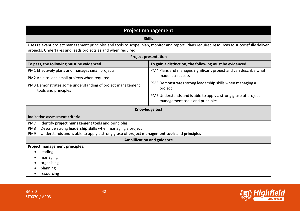| <b>Project management</b>                                                                                                                                                                                   |                                                                                                   |  |
|-------------------------------------------------------------------------------------------------------------------------------------------------------------------------------------------------------------|---------------------------------------------------------------------------------------------------|--|
|                                                                                                                                                                                                             | <b>Skills</b>                                                                                     |  |
| Uses relevant project management principles and tools to scope, plan, monitor and report. Plans required resources to successfully deliver<br>projects. Undertakes and leads projects as and when required. |                                                                                                   |  |
| <b>Project presentation</b>                                                                                                                                                                                 |                                                                                                   |  |
| To pass, the following must be evidenced                                                                                                                                                                    | To gain a distinction, the following must be evidenced                                            |  |
| PM1 Effectively plans and manages small projects                                                                                                                                                            | PM4 Plans and manages significant project and can describe what                                   |  |
| PM2 Able to lead small projects when required                                                                                                                                                               | made it a success                                                                                 |  |
| PM3 Demonstrates some understanding of project management<br>tools and principles                                                                                                                           | PM5 Demonstrates strong leadership skills when managing a<br>project                              |  |
|                                                                                                                                                                                                             | PM6 Understands and is able to apply a strong grasp of project<br>management tools and principles |  |
|                                                                                                                                                                                                             | Knowledge test                                                                                    |  |
| Indicative assessment criteria                                                                                                                                                                              |                                                                                                   |  |
| PM7<br>Identify project management tools and principles                                                                                                                                                     |                                                                                                   |  |
| Describe strong leadership skills when managing a project<br>PM <sub>8</sub>                                                                                                                                |                                                                                                   |  |
| Understands and is able to apply a strong grasp of project management tools and principles<br>PM9                                                                                                           |                                                                                                   |  |
| <b>Amplification and guidance</b>                                                                                                                                                                           |                                                                                                   |  |
| <b>Project management principles:</b>                                                                                                                                                                       |                                                                                                   |  |
| leading                                                                                                                                                                                                     |                                                                                                   |  |
| managing                                                                                                                                                                                                    |                                                                                                   |  |
| organising                                                                                                                                                                                                  |                                                                                                   |  |
| planning                                                                                                                                                                                                    |                                                                                                   |  |
| resourcing                                                                                                                                                                                                  |                                                                                                   |  |

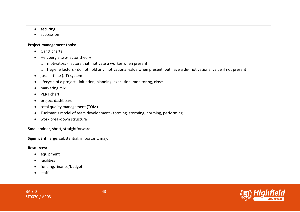- securing
- succession

#### **Project management tools:**

- Gantt charts
- Herzberg's two-factor theory
	- o motivators factors that motivate a worker when present
	- o hygiene factors do not hold any motivational value when present, but have a de-motivational value if not present
- just-in-time (JIT) system
- lifecycle of a project initiation, planning, execution, monitoring, close
- marketing mix
- PERT chart
- project dashboard
- total quality management (TQM)
- Tuckman's model of team development forming, storming, norming, performing
- work breakdown structure

**Small:** minor, short, straightforward

**Significant:** large, substantial, important, major

#### **Resources:**

- equipment
- facilities
- funding/finance/budget
- staff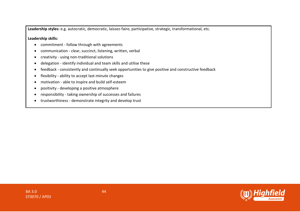**Leadership styles:** e.g. autocratic, democratic, laissez-faire, participative, strategic, transformational, etc.

**Leadership skills:** 

- commitment follow through with agreements
- communication clear, succinct, listening, written, verbal
- creativity using non-traditional solutions
- delegation identify individual and team skills and utilise these
- feedback consistently and continually seek opportunities to give positive and constructive feedback
- flexibility ability to accept last-minute changes
- motivation able to inspire and build self-esteem
- positivity developing a positive atmosphere
- responsibility taking ownership of successes and failures
- trustworthiness demonstrate integrity and develop trust

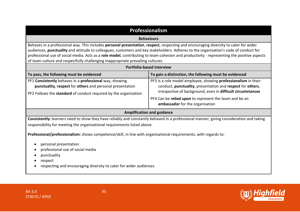| <b>Professionalism</b>                                                                                                                                                                                                                                                                                                                                                                                                                                                                                                                            |                                                                                                                                                                                                                                                                                          |  |
|---------------------------------------------------------------------------------------------------------------------------------------------------------------------------------------------------------------------------------------------------------------------------------------------------------------------------------------------------------------------------------------------------------------------------------------------------------------------------------------------------------------------------------------------------|------------------------------------------------------------------------------------------------------------------------------------------------------------------------------------------------------------------------------------------------------------------------------------------|--|
| <b>Behaviours</b>                                                                                                                                                                                                                                                                                                                                                                                                                                                                                                                                 |                                                                                                                                                                                                                                                                                          |  |
| Behaves in a professional way. This includes personal presentation, respect, respecting and encouraging diversity to cater for wider<br>audiences, punctuality and attitude to colleagues, customers and key stakeholders. Adheres to the organisation's code of conduct for<br>professional use of social media. Acts as a role model, contributing to team cohesion and productivity - representing the positive aspects<br>of team culture and respectfully challenging inappropriate prevailing cultures.<br><b>Portfolio-based interview</b> |                                                                                                                                                                                                                                                                                          |  |
| To pass, the following must be evidenced                                                                                                                                                                                                                                                                                                                                                                                                                                                                                                          | To gain a distinction, the following must be evidenced                                                                                                                                                                                                                                   |  |
| PF1 Consistently behaves in a professional way, showing<br>punctuality, respect for others and personal presentation<br>PF2 Follows the standard of conduct required by the organisation                                                                                                                                                                                                                                                                                                                                                          | PF3 Is a role model employee, showing professionalism in their<br>conduct, punctuality, presentation and respect for others,<br>irrespective of background, even in difficult circumstances<br>PF4 Can be relied upon to represent the team and be an<br>ambassador for the organisation |  |
|                                                                                                                                                                                                                                                                                                                                                                                                                                                                                                                                                   | <b>Amplification and guidance</b>                                                                                                                                                                                                                                                        |  |
| Consistently: learners need to show they have reliably and constantly behaved in a professional manner, giving consideration and taking<br>responsibility for meeting the organisational requirements listed above.                                                                                                                                                                                                                                                                                                                               |                                                                                                                                                                                                                                                                                          |  |
| Professional/professionalism: shows competence/skill, in line with organisational requirements, with regards to:<br>personal presentation<br>professional use of social media<br>punctuality<br>respect<br>respecting and encouraging diversity to cater for wider audiences                                                                                                                                                                                                                                                                      |                                                                                                                                                                                                                                                                                          |  |

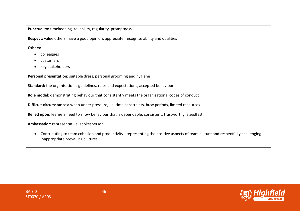**Punctuality:** timekeeping, reliability, regularity, promptness

**Respect:** value others, have a good opinion, appreciate, recognise ability and qualities

**Others:**

- colleagues
- customers
- key stakeholders

**Personal presentation:** suitable dress, personal grooming and hygiene

**Standard:** the organisation's guidelines, rules and expectations, accepted behaviour

**Role model:** demonstrating behaviour that consistently meets the organisational codes of conduct

**Difficult circumstances:** when under pressure, i.e. time constraints, busy periods, limited resources

**Relied upon:** learners need to show behaviour that is dependable, consistent, trustworthy, steadfast

**Ambassador:** representative, spokesperson

• Contributing to team cohesion and productivity - representing the positive aspects of team culture and respectfully challenging inappropriate prevailing cultures

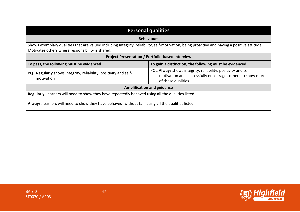| <b>Personal qualities</b>                                                                                                                                                                        |                                                                                                                                                   |  |
|--------------------------------------------------------------------------------------------------------------------------------------------------------------------------------------------------|---------------------------------------------------------------------------------------------------------------------------------------------------|--|
| <b>Behaviours</b>                                                                                                                                                                                |                                                                                                                                                   |  |
| Shows exemplary qualities that are valued including integrity, reliability, self-motivation, being proactive and having a positive attitude.<br>Motivates others where responsibility is shared. |                                                                                                                                                   |  |
| <b>Project Presentation / Portfolio-based interview</b>                                                                                                                                          |                                                                                                                                                   |  |
| To pass, the following must be evidenced                                                                                                                                                         | To gain a distinction, the following must be evidenced                                                                                            |  |
| PQ1 Regularly shows integrity, reliability, positivity and self-<br>motivation                                                                                                                   | PQ2 Always shows integrity, reliability, positivity and self-<br>motivation and successfully encourages others to show more<br>of these qualities |  |
| <b>Amplification and guidance</b>                                                                                                                                                                |                                                                                                                                                   |  |
| Regularly: learners will need to show they have repeatedly behaved using all the qualities listed.                                                                                               |                                                                                                                                                   |  |
| Always: learners will need to show they have behaved, without fail, using all the qualities listed.                                                                                              |                                                                                                                                                   |  |

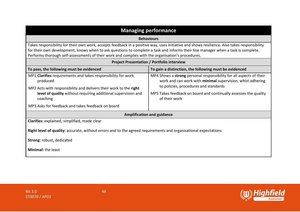| <b>Managing performance</b>                                                                                                                                                                                                                                                                                                                                                            |                                                                                                                                                                                                                                                                 |  |
|----------------------------------------------------------------------------------------------------------------------------------------------------------------------------------------------------------------------------------------------------------------------------------------------------------------------------------------------------------------------------------------|-----------------------------------------------------------------------------------------------------------------------------------------------------------------------------------------------------------------------------------------------------------------|--|
| <b>Behaviours</b>                                                                                                                                                                                                                                                                                                                                                                      |                                                                                                                                                                                                                                                                 |  |
| Takes responsibility for their own work, accepts feedback in a positive way, uses initiative and shows resilience. Also takes responsibility<br>for their own development, knows when to ask questions to complete a task and informs their line manager when a task is complete.<br>Performs thorough self-assessments of their work and complies with the organisation's procedures. |                                                                                                                                                                                                                                                                 |  |
| <b>Project Presentation / Portfolio interview</b>                                                                                                                                                                                                                                                                                                                                      |                                                                                                                                                                                                                                                                 |  |
| To pass, the following must be evidenced                                                                                                                                                                                                                                                                                                                                               | To gain a distinction, the following must be evidenced                                                                                                                                                                                                          |  |
| MP1 Clarifies requirements and takes responsibility for work<br>produced<br>MP2 Acts with responsibility and delivers their work to the right<br>level of quality without requiring additional supervision and<br>coaching                                                                                                                                                             | MP4 Shows a strong personal responsibility for all aspects of their<br>work and can work with minimal supervision, whist adhering<br>to policies, procedures and standards<br>MP5 Takes feedback on board and continually assesses the quality<br>of their work |  |
| MP3 Asks for feedback and takes feedback on board                                                                                                                                                                                                                                                                                                                                      |                                                                                                                                                                                                                                                                 |  |
| <b>Amplification and guidance</b>                                                                                                                                                                                                                                                                                                                                                      |                                                                                                                                                                                                                                                                 |  |
| Clarifies: explained, simplified, made clear<br>Right level of quality: accurate, without errors and to the agreed requirements and organisational expectations                                                                                                                                                                                                                        |                                                                                                                                                                                                                                                                 |  |
| Strong: robust, dedicated                                                                                                                                                                                                                                                                                                                                                              |                                                                                                                                                                                                                                                                 |  |
| <b>Minimal: the least</b>                                                                                                                                                                                                                                                                                                                                                              |                                                                                                                                                                                                                                                                 |  |



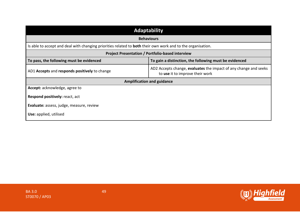| <b>Adaptability</b>                                                                                                |                                                                                                     |  |
|--------------------------------------------------------------------------------------------------------------------|-----------------------------------------------------------------------------------------------------|--|
| <b>Behaviours</b>                                                                                                  |                                                                                                     |  |
| Is able to accept and deal with changing priorities related to <b>both</b> their own work and to the organisation. |                                                                                                     |  |
| <b>Project Presentation / Portfolio-based interview</b>                                                            |                                                                                                     |  |
| To pass, the following must be evidenced                                                                           | To gain a distinction, the following must be evidenced                                              |  |
| AD1 Accepts and responds positively to change                                                                      | AD2 Accepts change, evaluates the impact of any change and seeks<br>to use it to improve their work |  |
| <b>Amplification and guidance</b>                                                                                  |                                                                                                     |  |
| Accept: acknowledge, agree to                                                                                      |                                                                                                     |  |
| Respond positively: react, act                                                                                     |                                                                                                     |  |
| Evaluate: assess, judge, measure, review                                                                           |                                                                                                     |  |
| Use: applied, utilised                                                                                             |                                                                                                     |  |

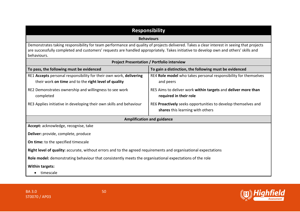| <b>Responsibility</b>                                                                                                                                                                                                                                                                            |                                                                                                   |  |
|--------------------------------------------------------------------------------------------------------------------------------------------------------------------------------------------------------------------------------------------------------------------------------------------------|---------------------------------------------------------------------------------------------------|--|
| <b>Behaviours</b>                                                                                                                                                                                                                                                                                |                                                                                                   |  |
| Demonstrates taking responsibility for team performance and quality of projects delivered. Takes a clear interest in seeing that projects<br>are successfully completed and customers' requests are handled appropriately. Takes initiative to develop own and others' skills and<br>behaviours. |                                                                                                   |  |
|                                                                                                                                                                                                                                                                                                  | <b>Project Presentation / Portfolio interview</b>                                                 |  |
| To pass, the following must be evidenced                                                                                                                                                                                                                                                         | To gain a distinction, the following must be evidenced                                            |  |
| RE1 Accepts personal responsibility for their own work, delivering<br>their work on time and to the right level of quality                                                                                                                                                                       | RE4 Role model who takes personal responsibility for themselves<br>and peers                      |  |
| RE2 Demonstrates ownership and willingness to see work<br>completed                                                                                                                                                                                                                              | RE5 Aims to deliver work within targets and deliver more than<br>required in their role           |  |
| RE3 Applies initiative in developing their own skills and behaviour                                                                                                                                                                                                                              | RE6 Proactively seeks opportunities to develop themselves and<br>shares this learning with others |  |
| <b>Amplification and guidance</b>                                                                                                                                                                                                                                                                |                                                                                                   |  |
| Accept: acknowledge, recognise, take                                                                                                                                                                                                                                                             |                                                                                                   |  |
| Deliver: provide, complete, produce                                                                                                                                                                                                                                                              |                                                                                                   |  |
| On time: to the specified timescale                                                                                                                                                                                                                                                              |                                                                                                   |  |
| Right level of quality: accurate, without errors and to the agreed requirements and organisational expectations                                                                                                                                                                                  |                                                                                                   |  |
| Role model: demonstrating behaviour that consistently meets the organisational expectations of the role                                                                                                                                                                                          |                                                                                                   |  |
| <b>Within targets:</b><br>timescale                                                                                                                                                                                                                                                              |                                                                                                   |  |

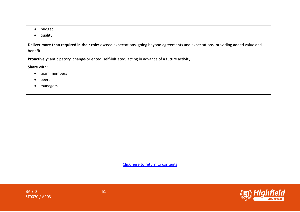- budget
- quality

**Deliver more than required in their role:** exceed expectations, going beyond agreements and expectations, providing added value and benefit

**Proactively:** anticipatory, change-oriented, self-initiated, acting in advance of a future activity

**Share** with:

- team members
- peers
- managers

[Click here to return to contents](#page-0-0)



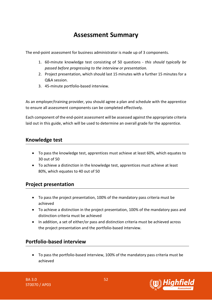# **Assessment Summary**

The end-point assessment for business administrator is made up of 3 components.

- 1. 60-minute knowledge test consisting of 50 questions *this should typically be passed before progressing to the interview or presentation.*
- 2. Project presentation, which should last 15 minutes with a further 15 minutes for a Q&A session.
- 3. 45-minute portfolio-based interview.

As an employer/training provider, you should agree a plan and schedule with the apprentice to ensure all assessment components can be completed effectively.

Each component of the end-point assessment will be assessed against the appropriate criteria laid out in this guide, which will be used to determine an overall grade for the apprentice.

# **Knowledge test**

- To pass the knowledge test, apprentices must achieve at least 60%, which equates to 30 out of 50
- To achieve a distinction in the knowledge test, apprentices must achieve at least 80%, which equates to 40 out of 50

# **Project presentation**

- To pass the project presentation, 100% of the mandatory pass criteria must be achieved
- To achieve a distinction in the project presentation, 100% of the mandatory pass and distinction criteria must be achieved
- In addition, a set of either/or pass and distinction criteria must be achieved across the project presentation and the portfolio-based interview.

# **Portfolio-based interview**

• To pass the portfolio-based interview, 100% of the mandatory pass criteria must be achieved



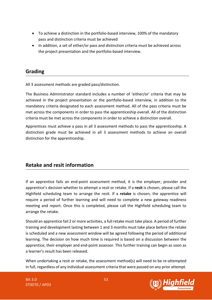- To achieve a distinction in the portfolio-based interview, 100% of the mandatory pass and distinction criteria must be achieved
- In addition, a set of either/or pass and distinction criteria must be achieved across the project presentation and the portfolio-based interview.

### **Grading**

All 3 assessment methods are graded pass/distinction.

The Business Administrator standard includes a number of 'either/or' criteria that may be achieved in the project presentation or the portfolio-based interview, in addition to the mandatory criteria designated to each assessment method. All of the pass criteria must be met across the components in order to pass the apprenticeship overall. All of the distinction criteria must be met across the components in order to achieve a distinction overall.

Apprentices must achieve a pass in all 3 assessment methods to pass the apprenticeship. A distinction grade must be achieved in all 3 assessment methods to achieve an overall distinction for the apprenticeship.

# **Retake and resit information**

If an apprentice fails an end-point assessment method, it is the employer, provider and apprentice's decision whether to attempt a resit or retake. If a **resit** is chosen, please call the Highfield scheduling team to arrange the resit. If a **retake** is chosen, the apprentice will require a period of further learning and will need to complete a new gateway readiness meeting and report. Once this is completed, please call the Highfield scheduling team to arrange the retake.

Should an apprentice fail 2 or more activities, a full retake must take place. A period of further training and development lasting between 1 and 3 months must take place before the retake is scheduled and a new assessment window will be agreed following the period of additional learning. The decision on how much time is required is based on a discussion between the apprentice, their employer and end-point assessor. This further training can begin as soon as a learner's result has been released.

When undertaking a resit or retake, the assessment method(s) will need to be re-attempted in full, regardless of any individual assessment criteria that were passed on any prior attempt.

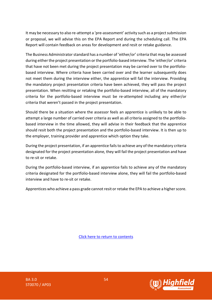It may be necessary to also re-attempt a 'pre-assessment' activity such as a project submission or proposal, we will advise this on the EPA Report and during the scheduling call. The EPA Report will contain feedback on areas for development and resit or retake guidance.

The Business Administrator standard has a number of 'either/or' criteria that may be assessed during either the project presentation or the portfolio-based interview. The 'either/or' criteria that have not been met during the project presentation may be carried over to the portfoliobased interview. Where criteria have been carried over and the learner subsequently does not meet them during the interview either, the apprentice will fail the interview. Providing the mandatory project presentation criteria have been achieved, they will pass the project presentation. When resitting or retaking the portfolio-based interview, all of the mandatory criteria for the portfolio-based interview must be re-attempted including any either/or criteria that weren't passed in the project presentation.

Should there be a situation where the assessor feels an apprentice is unlikely to be able to attempt a large number of carried over criteria as well as all criteria assigned to the portfoliobased interview in the time allowed, they will advise in their feedback that the apprentice should resit both the project presentation and the portfolio-based interview. It is then up to the employer, training provider and apprentice which option they take.

During the project presentation, if an apprentice fails to achieve any of the mandatory criteria designated for the project presentation alone, they will fail the project presentation and have to re-sit or retake.

During the portfolio-based interview, if an apprentice fails to achieve any of the mandatory criteria designated for the portfolio-based interview alone, they will fail the portfolio-based interview and have to re-sit or retake.

Apprentices who achieve a pass grade cannot resit or retake the EPA to achieve a higher score.

[Click here to return to contents](#page-0-1)



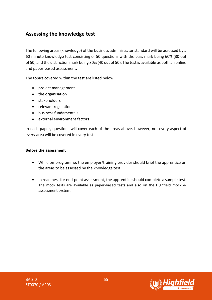# **Assessing the knowledge test**

The following areas (knowledge) of the business administrator standard will be assessed by a 60-minute knowledge test consisting of 50 questions with the pass mark being 60% (30 out of 50) and the distinction mark being 80% (40 out of 50). The test is available as both an online and paper-based assessment.

The topics covered within the test are listed below:

- project management
- the organisation
- stakeholders
- relevant regulation
- business fundamentals
- external environment factors

In each paper, questions will cover each of the areas above, however, not every aspect of every area will be covered in every test.

#### **Before the assessment**

- While on-programme, the employer/training provider should brief the apprentice on the areas to be assessed by the knowledge test
- In readiness for end-point assessment, the apprentice should complete a sample test. The mock tests are available as paper-based tests and also on the Highfield mock eassessment system.

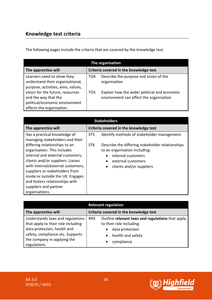# **Knowledge test criteria**

The following pages include the criteria that are covered by the knowledge test.

| The organisation                                                                                                        |                                        |                                                                                         |
|-------------------------------------------------------------------------------------------------------------------------|----------------------------------------|-----------------------------------------------------------------------------------------|
| The apprentice will                                                                                                     | Criteria covered in the knowledge test |                                                                                         |
| Learners need to show they<br>understand their organisational,<br>purpose, activities, aims, values,                    | TO <sub>4</sub>                        | Describe the purpose and vision of the<br>organisation                                  |
| vision for the future, resources<br>and the way that the<br>political/economic environment<br>affects the organisation. | TO <sub>5</sub>                        | Explain how the wider political and economic<br>environment can affect the organisation |

| <b>Stakeholders</b>                                                                                                                                                                                                                                                                                                            |                                        |                                                                                                                                                           |
|--------------------------------------------------------------------------------------------------------------------------------------------------------------------------------------------------------------------------------------------------------------------------------------------------------------------------------|----------------------------------------|-----------------------------------------------------------------------------------------------------------------------------------------------------------|
| The apprentice will                                                                                                                                                                                                                                                                                                            | Criteria covered in the knowledge test |                                                                                                                                                           |
| Has a practical knowledge of<br>managing stakeholders and their                                                                                                                                                                                                                                                                | ST <sub>5</sub>                        | Identify methods of stakeholder management                                                                                                                |
| differing relationships to an<br>organisation. This includes<br>internal and external customers,<br>clients and/or suppliers. Liaises<br>with internal/external customers,<br>suppliers or stakeholders from<br>inside or outside the UK. Engages<br>and fosters relationships with<br>suppliers and partner<br>organisations. | ST <sub>6</sub>                        | Describe the differing stakeholder relationships<br>to an organisation including:<br>internal customers<br>external customers<br>clients and/or suppliers |

|                                                                                                                                                                                          | <b>Relevant regulation</b> |                                                                                                                                                                           |
|------------------------------------------------------------------------------------------------------------------------------------------------------------------------------------------|----------------------------|---------------------------------------------------------------------------------------------------------------------------------------------------------------------------|
| The apprentice will                                                                                                                                                                      |                            | Criteria covered in the knowledge test                                                                                                                                    |
| Understands laws and regulations<br>that apply to their role including<br>data protection, health and<br>safety, compliance etc. Supports<br>the company in applying the<br>regulations. | RR4                        | Outline relevant laws and regulations that apply<br>to their role including:<br>data protection<br>$\bullet$<br>health and safety<br>$\bullet$<br>compliance<br>$\bullet$ |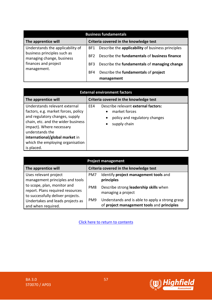| <b>Business fundamentals</b>                             |                 |                                                   |
|----------------------------------------------------------|-----------------|---------------------------------------------------|
| The apprentice will                                      |                 | Criteria covered in the knowledge test            |
| Understands the applicability of                         | BF1             | Describe the applicability of business principles |
| business principles such as<br>managing change, business | BF <sub>2</sub> | Describe the fundamentals of business finance     |
| finances and project                                     | BF3             | Describe the fundamentals of managing change      |
| management.                                              | BF4             | Describe the fundamentals of project              |
|                                                          |                 | management                                        |

| <b>External environment factors</b>                                                                                                                                                                                                                                             |                                                                                                                                                     |  |
|---------------------------------------------------------------------------------------------------------------------------------------------------------------------------------------------------------------------------------------------------------------------------------|-----------------------------------------------------------------------------------------------------------------------------------------------------|--|
| The apprentice will                                                                                                                                                                                                                                                             | Criteria covered in the knowledge test                                                                                                              |  |
| Understands relevant external<br>factors, e.g. market forces, policy<br>and regulatory changes, supply<br>chain, etc. and the wider business<br>impact). Where necessary<br>understands the<br>international/global market in<br>which the employing organisation<br>is placed. | Describe relevant external factors:<br>EE4<br>market forces<br>$\bullet$<br>policy and regulatory changes<br>$\bullet$<br>supply chain<br>$\bullet$ |  |

| <b>Project management</b>                                                                            |     |                                                                                               |
|------------------------------------------------------------------------------------------------------|-----|-----------------------------------------------------------------------------------------------|
| The apprentice will                                                                                  |     | Criteria covered in the knowledge test                                                        |
| Uses relevant project<br>management principles and tools                                             | PM7 | Identify project management tools and<br>principles                                           |
| to scope, plan, monitor and<br>report. Plans required resources<br>to successfully deliver projects. | PM8 | Describe strong leadership skills when<br>managing a project                                  |
| Undertakes and leads projects as<br>and when required.                                               | PM9 | Understands and is able to apply a strong grasp<br>of project management tools and principles |

[Click here to return to contents](#page-0-1)

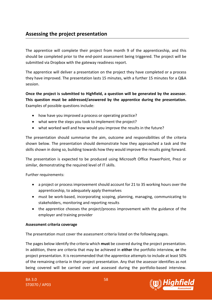# **Assessing the project presentation**

The apprentice will complete their project from month 9 of the apprenticeship, and this should be completed prior to the end-point assessment being triggered. The project will be submitted via Dropbox with the gateway readiness report.

The apprentice will deliver a presentation on the project they have completed or a process they have improved. The presentation lasts 15 minutes, with a further 15 minutes for a Q&A session.

**Once the project is submitted to Highfield, a question will be generated by the assessor. This question must be addressed/answered by the apprentice during the presentation.** Examples of possible questions include:

- how have you improved a process or operating practice?
- what were the steps you took to implement the project?
- what worked well and how would you improve the results in the future?

The presentation should summarise the aim, outcome and responsibilities of the criteria shown below. The presentation should demonstrate how they approached a task and the skills shown in doing so, building towards how they would improve the results going forward.

The presentation is expected to be produced using Microsoft Office PowerPoint, Prezi or similar, demonstrating the required level of IT skills.

Further requirements:

- a project or process improvement should account for 21 to 35 working hours over the apprenticeship, to adequately apply themselves
- must be work-based, incorporating scoping, planning, managing, communicating to stakeholders, monitoring and reporting results
- the apprentice chooses the project/process improvement with the guidance of the employer and training provider

#### **Assessment criteria coverage**

The presentation must cover the assessment criteria listed on the following pages.

The pages below identify the criteria which **must** be covered during the project presentation. In addition, there are criteria that may be achieved in **either** the portfolio interview, **or** the project presentation. It is recommended that the apprentice attempts to include at least 50% of the remaining criteria in their project presentation. Any that the assessor identifies as not being covered will be carried over and assessed during the portfolio-based interview.

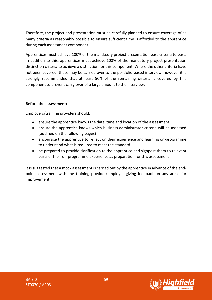Therefore, the project and presentation must be carefully planned to ensure coverage of as many criteria as reasonably possible to ensure sufficient time is afforded to the apprentice during each assessment component.

Apprentices must achieve 100% of the mandatory project presentation pass criteria to pass. In addition to this, apprentices must achieve 100% of the mandatory project presentation distinction criteria to achieve a distinction for this component. Where the other criteria have not been covered, these may be carried over to the portfolio-based interview, however it is strongly recommended that at least 50% of the remaining criteria is covered by this component to prevent carry over of a large amount to the interview.

#### **Before the assessment:**

Employers/training providers should:

- ensure the apprentice knows the date, time and location of the assessment
- ensure the apprentice knows which business administrator criteria will be assessed (outlined on the following pages)
- encourage the apprentice to reflect on their experience and learning on-programme to understand what is required to meet the standard
- be prepared to provide clarification to the apprentice and signpost them to relevant parts of their on-programme experience as preparation for this assessment

It is suggested that a mock assessment is carried out by the apprentice in advance of the endpoint assessment with the training provider/employer giving feedback on any areas for improvement.

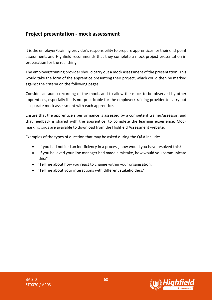### **Project presentation - mock assessment**

It is the employer/training provider's responsibility to prepare apprentices for their end-point assessment, and Highfield recommends that they complete a mock project presentation in preparation for the real thing.

The employer/training provider should carry out a mock assessment of the presentation. This would take the form of the apprentice presenting their project, which could then be marked against the criteria on the following pages.

Consider an audio recording of the mock, and to allow the mock to be observed by other apprentices, especially if it is not practicable for the employer/training provider to carry out a separate mock assessment with each apprentice.

Ensure that the apprentice's performance is assessed by a competent trainer/assessor, and that feedback is shared with the apprentice, to complete the learning experience. Mock marking grids are available to download from the Highfield Assessment website.

Examples of the types of question that may be asked during the Q&A include:

- 'If you had noticed an inefficiency in a process, how would you have resolved this?'
- 'If you believed your line manager had made a mistake, how would you communicate this?'
- 'Tell me about how you react to change within your organisation.'
- 'Tell me about your interactions with different stakeholders.'

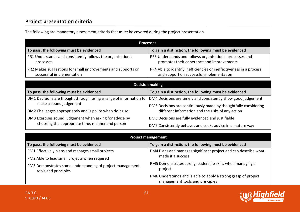# **Project presentation criteria**

| <b>Processes</b>                                             |                                                                     |  |
|--------------------------------------------------------------|---------------------------------------------------------------------|--|
| To pass, the following must be evidenced                     | To gain a distinction, the following must be evidenced              |  |
| PR1 Understands and consistently follows the organisation's  | PR3 Understands and follows organisational processes and            |  |
| processes                                                    | promotes their adherence and improvements                           |  |
| PR2 Makes suggestions for small improvements and supports on | PR4 Able to identify inefficiencies or ineffectiveness in a process |  |
| successful implementation                                    | and support on successful implementation                            |  |

The following are mandatory assessment criteria that **must** be covered during the project presentation.

| <b>Decision making</b>                                                                       |                                                                                                                                  |  |
|----------------------------------------------------------------------------------------------|----------------------------------------------------------------------------------------------------------------------------------|--|
| To pass, the following must be evidenced                                                     | To gain a distinction, the following must be evidenced                                                                           |  |
| DM1 Decisions are thought through, using a range of information to<br>make a sound judgement | DM4 Decisions are timely and consistently show good judgement<br>DM5 Decisions are continuously made by thoughtfully considering |  |
| DM2 Challenges appropriately and is polite when doing so                                     | different information and the risks of any action                                                                                |  |
| DM3 Exercises sound judgement when asking for advice by                                      | DM6 Decisions are fully evidenced and justifiable                                                                                |  |
| choosing the appropriate time, manner and person                                             | DM7 Consistently behaves and seeks advice in a mature way                                                                        |  |

| <b>Project management</b>                                                         |                                                                                                   |  |
|-----------------------------------------------------------------------------------|---------------------------------------------------------------------------------------------------|--|
| To pass, the following must be evidenced                                          | To gain a distinction, the following must be evidenced                                            |  |
| PM1 Effectively plans and manages small projects                                  | PM4 Plans and manages significant project and can describe what                                   |  |
| PM2 Able to lead small projects when required                                     | made it a success                                                                                 |  |
| PM3 Demonstrates some understanding of project management<br>tools and principles | PM5 Demonstrates strong leadership skills when managing a<br>project                              |  |
|                                                                                   | PM6 Understands and is able to apply a strong grasp of project<br>management tools and principles |  |

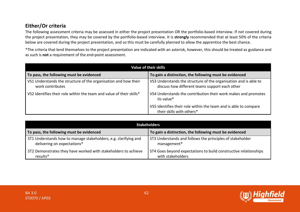# **Either/Or criteria**

The following assessment criteria may be assessed in either the project presentation OR the portfolio-based interview. If not covered during the project presentation, they may be covered by the portfolio-based interview. It is **strongly** recommended that at least 50% of the criteria below are covered during the project presentation, and so this must be carefully planned to allow the apprentice the best chance.

\*The criteria that lend themselves to the project presentation are indicated with an asterisk, however, this should be treated as guidance and as such is **not** a requirement of the end-point assessment.

| Value of their skills                                                               |                                                                                                                    |  |
|-------------------------------------------------------------------------------------|--------------------------------------------------------------------------------------------------------------------|--|
| To pass, the following must be evidenced                                            | To gain a distinction, the following must be evidenced                                                             |  |
| VS1 Understands the structure of the organisation and how their<br>work contributes | VS3 Understands the structure of the organisation and is able to<br>discuss how different teams support each other |  |
| VS2 Identifies their role within the team and value of their skills*                | VS4 Understands the contribution their work makes and promotes<br>its value*                                       |  |
|                                                                                     | VS5 Identifies their role within the team and is able to compare<br>their skills with others*                      |  |

| Stakeholders                                                    |                                                                  |  |
|-----------------------------------------------------------------|------------------------------------------------------------------|--|
| To pass, the following must be evidenced                        | To gain a distinction, the following must be evidenced           |  |
| ST1 Understands how to manage stakeholders, e.g. clarifying and | ST3 Understands and follows the principles of stakeholder        |  |
| delivering on expectations*                                     | management*                                                      |  |
| ST2 Demonstrates they have worked with stakeholders to achieve  | ST4 Goes beyond expectations to build constructive relationships |  |
| results*                                                        | with stakeholders                                                |  |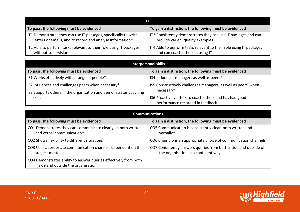| To pass, the following must be evidenced                           | To gain a distinction, the following must be evidenced             |  |
|--------------------------------------------------------------------|--------------------------------------------------------------------|--|
| IT1 Demonstrates they can use IT packages, specifically to write   | IT3 Consistently demonstrates they can use IT packages and can     |  |
| letters or emails, and to record and analyse information*          | provide varied, quality examples                                   |  |
| IT2 Able to perform tasks relevant to their role using IT packages | IT4 Able to perform tasks relevant to their role using IT packages |  |
| without supervision                                                | and can coach others in using IT                                   |  |

| <b>Interpersonal skills</b>                                       |                                                                |  |
|-------------------------------------------------------------------|----------------------------------------------------------------|--|
| To pass, the following must be evidenced                          | To gain a distinction, the following must be evidenced         |  |
| IS1 Works effectively with a range of people*                     | IS4 Influences managers as well as peers*                      |  |
| IS2 Influences and challenges peers when necessary*               | IS5 Constructively challenges managers, as well as peers, when |  |
| IS3 Supports others in the organisation and demonstrates coaching | necessary*                                                     |  |
| skills                                                            | IS6 Proactively offers to coach others and has had good        |  |
|                                                                   | performance recorded in feedback                               |  |

| <b>Communications</b>                                                                                   |                                                                                                         |  |
|---------------------------------------------------------------------------------------------------------|---------------------------------------------------------------------------------------------------------|--|
| To pass, the following must be evidenced                                                                | To gain a distinction, the following must be evidenced                                                  |  |
| CO1 Demonstrates they can communicate clearly, in both written<br>and verbal communication*             | CO5 Communication is consistently clear, both written and<br>verbally*                                  |  |
| CO2 Shows flexibility to different situations                                                           | CO6 Champions an appropriate choice of communication channels                                           |  |
| CO3 Uses appropriate communication channels dependent on the<br>subject matter                          | CO7 Consistently answers queries from both inside and outside of<br>the organisation in a confident way |  |
| CO4 Demonstrates ability to answer queries effectively from both<br>inside and outside the organisation |                                                                                                         |  |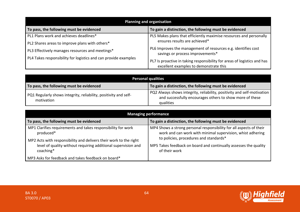| <b>Planning and organisation</b>                                |                                                                                                                    |
|-----------------------------------------------------------------|--------------------------------------------------------------------------------------------------------------------|
| To pass, the following must be evidenced                        | To gain a distinction, the following must be evidenced                                                             |
| PL1 Plans work and achieves deadlines*                          | PL5 Makes plans that efficiently maximise resources and personally                                                 |
| PL2 Shares areas to improve plans with others*                  | ensures results are achieved*                                                                                      |
| PL3 Effectively manages resources and meetings*                 | PL6 Improves the management of resources e.g. identifies cost<br>savings or process improvements*                  |
| PL4 Takes responsibility for logistics and can provide examples | PL7 Is proactive in taking responsibility for areas of logistics and has<br>excellent examples to demonstrate this |

| <b>Personal qualities</b>                                                      |                                                                                                                                                  |
|--------------------------------------------------------------------------------|--------------------------------------------------------------------------------------------------------------------------------------------------|
| To pass, the following must be evidenced                                       | To gain a distinction, the following must be evidenced                                                                                           |
| PQ1 Regularly shows integrity, reliability, positivity and self-<br>motivation | PQ2 Always shows integrity, reliability, positivity and self-motivation<br>and successfully encourages others to show more of these<br>qualities |

| <b>Managing performance</b>                                                |                                                                                                                                   |
|----------------------------------------------------------------------------|-----------------------------------------------------------------------------------------------------------------------------------|
| To pass, the following must be evidenced                                   | To gain a distinction, the following must be evidenced                                                                            |
| MP1 Clarifies requirements and takes responsibility for work<br>produced*  | MP4 Shows a strong personal responsibility for all aspects of their<br>work and can work with minimal supervision, whist adhering |
| MP2 Acts with responsibility and delivers their work to the right          | to policies, procedures and standards*                                                                                            |
| level of quality without requiring additional supervision and<br>coaching* | MP5 Takes feedback on board and continually assesses the quality<br>of their work                                                 |
| MP3 Asks for feedback and takes feedback on board*                         |                                                                                                                                   |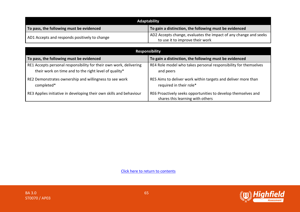| Adaptability                                  |                                                                                                     |
|-----------------------------------------------|-----------------------------------------------------------------------------------------------------|
| To pass, the following must be evidenced      | To gain a distinction, the following must be evidenced                                              |
| AD1 Accepts and responds positively to change | AD2 Accepts change, evaluates the impact of any change and seeks<br>to use it to improve their work |

| <b>Responsibility</b>                                                                                                       |                                                                                                   |
|-----------------------------------------------------------------------------------------------------------------------------|---------------------------------------------------------------------------------------------------|
| To pass, the following must be evidenced                                                                                    | To gain a distinction, the following must be evidenced                                            |
| RE1 Accepts personal responsibility for their own work, delivering<br>their work on time and to the right level of quality* | RE4 Role model who takes personal responsibility for themselves<br>and peers                      |
| RE2 Demonstrates ownership and willingness to see work<br>completed*                                                        | RE5 Aims to deliver work within targets and deliver more than<br>required in their role*          |
| RE3 Applies initiative in developing their own skills and behaviour                                                         | RE6 Proactively seeks opportunities to develop themselves and<br>shares this learning with others |

[Click here to return to contents](#page-0-0)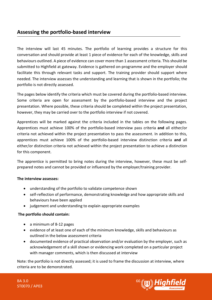### **Assessing the portfolio-based interview**

The interview will last 45 minutes. The portfolio of learning provides a structure for this conversation and should provide at least 1 piece of evidence for each of the knowledge, skills and behaviours outlined. A piece of evidence can cover more than 1 assessment criteria. This should be submitted to Highfield at gateway. Evidence is gathered on-programme and the employer should facilitate this through relevant tasks and support. The training provider should support where needed. The interview assesses the understanding and learning that is shown in the portfolio; the portfolio is not directly assessed.

The pages below identify the criteria which must be covered during the portfolio-based interview. Some criteria are open for assessment by the portfolio-based interview and the project presentation. Where possible, these criteria should be completed within the project presentation, however, they may be carried over to the portfolio interview if not covered.

Apprentices will be marked against the criteria included in the tables on the following pages. Apprentices must achieve 100% of the portfolio-based interview pass criteria **and** all either/or criteria not achieved within the project presentation to pass the assessment. In addition to this, apprentices must achieve 100% of the portfolio-based interview distinction criteria **and** all either/or distinction criteria not achieved within the project presentation to achieve a distinction for this component.

The apprentice is permitted to bring notes during the interview, however, these must be selfprepared notes and cannot be provided or influenced by the employer/training provider.

#### **The interview assesses:**

- understanding of the portfolio to validate competence shown
- self-reflection of performance, demonstrating knowledge and how appropriate skills and behaviours have been applied
- judgement and understanding to explain appropriate examples

#### **The portfolio should contain:**

- a minimum of 8-12 pages
- evidence of at least one of each of the minimum knowledge, skills and behaviours as outlined in the below assessment criteria
- documented evidence of practical observation and/or evaluation by the employer, such as acknowledgement of a skill shown or evidencing work completed on a particular project with manager comments, which is then discussed at interview

Note: the portfolio is not directly assessed; it is used to frame the discussion at interview, where criteria are to be demonstrated.

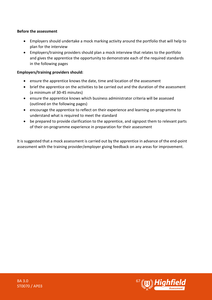#### **Before the assessment**

- Employers should undertake a mock marking activity around the portfolio that will help to plan for the interview
- Employers/training providers should plan a mock interview that relates to the portfolio and gives the apprentice the opportunity to demonstrate each of the required standards in the following pages

#### **Employers/training providers should:**

- ensure the apprentice knows the date, time and location of the assessment
- brief the apprentice on the activities to be carried out and the duration of the assessment (a minimum of 30-45 minutes)
- ensure the apprentice knows which business administrator criteria will be assessed (outlined on the following pages)
- encourage the apprentice to reflect on their experience and learning on-programme to understand what is required to meet the standard
- be prepared to provide clarification to the apprentice, and signpost them to relevant parts of their on-programme experience in preparation for their assessment

It is suggested that a mock assessment is carried out by the apprentice in advance of the end-point assessment with the training provider/employer giving feedback on any areas for improvement.

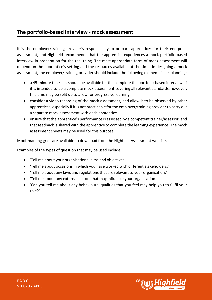# **The portfolio-based interview - mock assessment**

It is the employer/training provider's responsibility to prepare apprentices for their end-point assessment, and Highfield recommends that the apprentice experiences a mock portfolio-based interview in preparation for the real thing. The most appropriate form of mock assessment will depend on the apprentice's setting and the resources available at the time. In designing a mock assessment, the employer/training provider should include the following elements in its planning:

- a 45-minute time slot should be available for the complete the portfolio-based interview. If it is intended to be a complete mock assessment covering all relevant standards, however, this time may be split up to allow for progressive learning.
- consider a video recording of the mock assessment, and allow it to be observed by other apprentices, especially if it is not practicable for the employer/training provider to carry out a separate mock assessment with each apprentice.
- ensure that the apprentice's performance is assessed by a competent trainer/assessor, and that feedback is shared with the apprentice to complete the learning experience. The mock assessment sheets may be used for this purpose.

Mock marking grids are available to download from the Highfield Assessment website.

Examples of the types of question that may be used include:

- 'Tell me about your organisational aims and objectives.'
- 'Tell me about occasions in which you have worked with different stakeholders.'
- 'Tell me about any laws and regulations that are relevant to your organisation.'
- 'Tell me about any external factors that may influence your organisation.'
- 'Can you tell me about any behavioural qualities that you feel may help you to fulfil your role?'

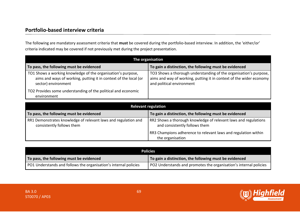# **Portfolio-based interview criteria**

The following are mandatory assessment criteria that **must** be covered during the portfolio-based interview. In addition, the 'either/or' criteria indicated may be covered if not previously met during the project presentation.

| The organisation                                                                                                                                        |                                                                                                                                                                         |
|---------------------------------------------------------------------------------------------------------------------------------------------------------|-------------------------------------------------------------------------------------------------------------------------------------------------------------------------|
| To pass, the following must be evidenced                                                                                                                | To gain a distinction, the following must be evidenced                                                                                                                  |
| TO1 Shows a working knowledge of the organisation's purpose,<br>aims and ways of working, putting it in context of the local (or<br>sector) environment | TO3 Shows a thorough understanding of the organisation's purpose,  <br>aims and way of working, putting it in context of the wider economy<br>and political environment |
| TO2 Provides some understanding of the political and economic<br>environment                                                                            |                                                                                                                                                                         |

| <b>Relevant regulation</b>                                                                  |                                                                                                  |
|---------------------------------------------------------------------------------------------|--------------------------------------------------------------------------------------------------|
| To pass, the following must be evidenced                                                    | To gain a distinction, the following must be evidenced                                           |
| RR1 Demonstrates knowledge of relevant laws and regulation and<br>consistently follows them | RR2 Shows a thorough knowledge of relevant laws and regulations<br>and consistently follows them |
|                                                                                             | RR3 Champions adherence to relevant laws and regulation within<br>the organisation               |

| <b>Policies</b>                                                  |                                                                   |
|------------------------------------------------------------------|-------------------------------------------------------------------|
| To pass, the following must be evidenced                         | To gain a distinction, the following must be evidenced            |
| PO1 Understands and follows the organisation's internal policies | PO2 Understands and promotes the organisation's internal policies |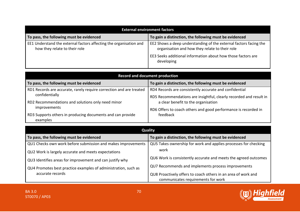| <b>External environment factors</b>                                                                 |                                                                                                                     |
|-----------------------------------------------------------------------------------------------------|---------------------------------------------------------------------------------------------------------------------|
| To pass, the following must be evidenced                                                            | To gain a distinction, the following must be evidenced                                                              |
| EE1 Understand the external factors affecting the organisation and<br>how they relate to their role | EE2 Shows a deep understanding of the external factors facing the<br>organisation and how they relate to their role |
|                                                                                                     | EE3 Seeks additional information about how those factors are<br>developing                                          |

| <b>Record and document production</b>                               |                                                                    |
|---------------------------------------------------------------------|--------------------------------------------------------------------|
| To pass, the following must be evidenced                            | To gain a distinction, the following must be evidenced             |
| RD1 Records are accurate, rarely require correction and are treated | RD4 Records are consistently accurate and confidential             |
| confidentially                                                      | RD5 Recommendations are insightful, clearly recorded and result in |
| RD2 Recommendations and solutions only need minor                   | a clear benefit to the organisation                                |
| improvements                                                        | RD6 Offers to coach others and good performance is recorded in     |
| RD3 Supports others in producing documents and can provide          | feedback                                                           |
| examples                                                            |                                                                    |

| Quality                                                        |                                                                                                     |
|----------------------------------------------------------------|-----------------------------------------------------------------------------------------------------|
| To pass, the following must be evidenced                       | To gain a distinction, the following must be evidenced                                              |
| QU1 Checks own work before submission and makes improvements   | QU5 Takes ownership for work and applies processes for checking                                     |
| QU2 Work is largely accurate and meets expectations            | work                                                                                                |
| QU3 Identifies areas for improvement and can justify why       | QU6 Work is consistently accurate and meets the agreed outcomes                                     |
| QU4 Promotes best practice examples of administration, such as | QU7 Recommends and implements process improvements                                                  |
| accurate records                                               | QU8 Proactively offers to coach others in an area of work and<br>communicates requirements for work |

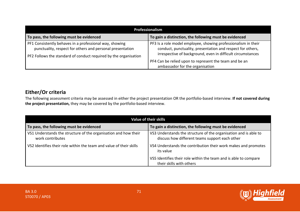| <b>Professionalism</b>                                                                                                                                                                   |                                                                                                                                                                                             |
|------------------------------------------------------------------------------------------------------------------------------------------------------------------------------------------|---------------------------------------------------------------------------------------------------------------------------------------------------------------------------------------------|
| To pass, the following must be evidenced                                                                                                                                                 | To gain a distinction, the following must be evidenced                                                                                                                                      |
| PF1 Consistently behaves in a professional way, showing<br>punctuality, respect for others and personal presentation<br>PF2 Follows the standard of conduct required by the organisation | PF3 Is a role model employee, showing professionalism in their<br>conduct, punctuality, presentation and respect for others,<br>irrespective of background, even in difficult circumstances |
|                                                                                                                                                                                          | PF4 Can be relied upon to represent the team and be an<br>ambassador for the organisation                                                                                                   |

# **Either/Or criteria**

The following assessment criteria may be assessed in either the project presentation OR the portfolio-based interview. **If not covered during the project presentation,** they may be covered by the portfolio-based interview.

| <b>Value of their skills</b>                                                        |                                                                                                                    |
|-------------------------------------------------------------------------------------|--------------------------------------------------------------------------------------------------------------------|
| To pass, the following must be evidenced                                            | To gain a distinction, the following must be evidenced                                                             |
| VS1 Understands the structure of the organisation and how their<br>work contributes | VS3 Understands the structure of the organisation and is able to<br>discuss how different teams support each other |
| VS2 Identifies their role within the team and value of their skills                 | VS4 Understands the contribution their work makes and promotes<br>its value                                        |
|                                                                                     | VS5 Identifies their role within the team and is able to compare<br>their skills with others                       |

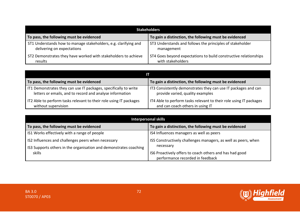| <b>Stakeholders</b>                                             |                                                                  |
|-----------------------------------------------------------------|------------------------------------------------------------------|
| To pass, the following must be evidenced                        | To gain a distinction, the following must be evidenced           |
| ST1 Understands how to manage stakeholders, e.g. clarifying and | ST3 Understands and follows the principles of stakeholder        |
| delivering on expectations                                      | management                                                       |
| ST2 Demonstrates they have worked with stakeholders to achieve  | ST4 Goes beyond expectations to build constructive relationships |
| results                                                         | with stakeholders                                                |

| To pass, the following must be evidenced                           | To gain a distinction, the following must be evidenced             |
|--------------------------------------------------------------------|--------------------------------------------------------------------|
| IT1 Demonstrates they can use IT packages, specifically to write   | IT3 Consistently demonstrates they can use IT packages and can     |
| letters or emails, and to record and analyse information           | provide varied, quality examples                                   |
| IT2 Able to perform tasks relevant to their role using IT packages | IT4 Able to perform tasks relevant to their role using IT packages |
| without supervision                                                | and can coach others in using IT                                   |

| <b>Interpersonal skills</b>                                       |                                                                |
|-------------------------------------------------------------------|----------------------------------------------------------------|
| To pass, the following must be evidenced                          | To gain a distinction, the following must be evidenced         |
| IS1 Works effectively with a range of people                      | IS4 Influences managers as well as peers                       |
| IS2 Influences and challenges peers when necessary                | IS5 Constructively challenges managers, as well as peers, when |
| IS3 Supports others in the organisation and demonstrates coaching | necessary                                                      |
| skills                                                            | IS6 Proactively offers to coach others and has had good        |
|                                                                   | performance recorded in feedback                               |

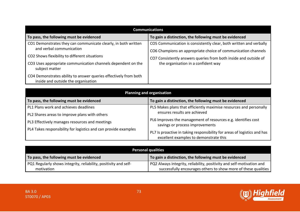| <b>Communications</b>                                                                                   |                                                                                                                                     |
|---------------------------------------------------------------------------------------------------------|-------------------------------------------------------------------------------------------------------------------------------------|
| To pass, the following must be evidenced                                                                | To gain a distinction, the following must be evidenced                                                                              |
| CO1 Demonstrates they can communicate clearly, in both written<br>and verbal communication              | CO5 Communication is consistently clear, both written and verbally<br>CO6 Champions an appropriate choice of communication channels |
| CO2 Shows flexibility to different situations                                                           | CO7 Consistently answers queries from both inside and outside of                                                                    |
| CO3 Uses appropriate communication channels dependent on the<br>subject matter                          | the organisation in a confident way                                                                                                 |
| CO4 Demonstrates ability to answer queries effectively from both<br>inside and outside the organisation |                                                                                                                                     |

| <b>Planning and organisation</b>                                |                                                                                                                    |
|-----------------------------------------------------------------|--------------------------------------------------------------------------------------------------------------------|
| To pass, the following must be evidenced                        | To gain a distinction, the following must be evidenced                                                             |
| PL1 Plans work and achieves deadlines                           | PL5 Makes plans that efficiently maximise resources and personally                                                 |
| PL2 Shares areas to improve plans with others                   | ensures results are achieved                                                                                       |
| PL3 Effectively manages resources and meetings                  | PL6 Improves the management of resources e.g. identifies cost<br>savings or process improvements                   |
| PL4 Takes responsibility for logistics and can provide examples | PL7 Is proactive in taking responsibility for areas of logistics and has<br>excellent examples to demonstrate this |

| <b>Personal qualities</b>                                        |                                                                       |
|------------------------------------------------------------------|-----------------------------------------------------------------------|
| To pass, the following must be evidenced                         | To gain a distinction, the following must be evidenced                |
| PQ1 Regularly shows integrity, reliability, positivity and self- | PQ2 Always integrity, reliability, positivity and self-motivation and |
| motivation                                                       | successfully encourages others to show more of these qualities        |